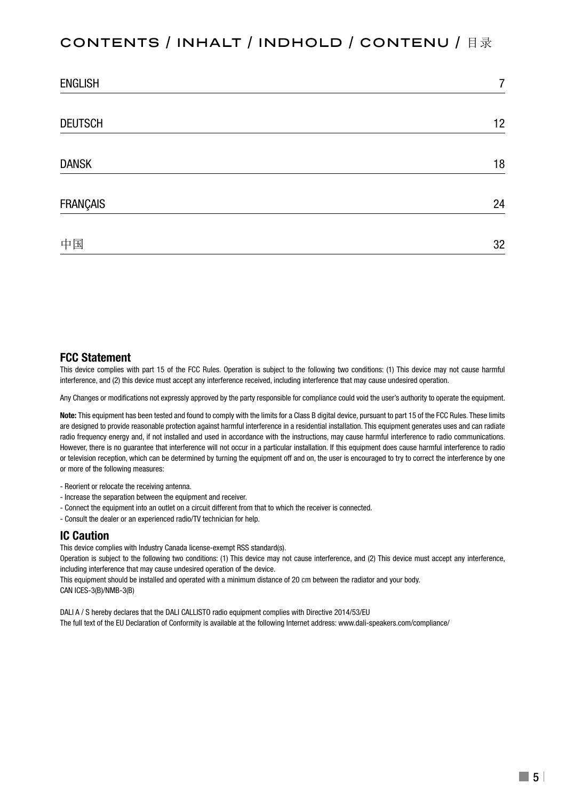## CONTENTS / INHALT / INDHOLD / contenu / 目录

| <b>ENGLISH</b> | 7  |
|----------------|----|
|                |    |
| <b>DEUTSCH</b> | 12 |
|                |    |
| <b>DANSK</b>   | 18 |
| FRANÇAIS       | 24 |
|                |    |
| 中国             | 32 |

#### **FCC Statement**

This device complies with part 15 of the FCC Rules. Operation is subject to the following two conditions: (1) This device may not cause harmful interference, and (2) this device must accept any interference received, including interference that may cause undesired operation.

Any Changes or modifications not expressly approved by the party responsible for compliance could void the user's authority to operate the equipment.

**Note:** This equipment has been tested and found to comply with the limits for a Class B digital device, pursuant to part 15 of the FCC Rules. These limits are designed to provide reasonable protection against harmful interference in a residential installation. This equipment generates uses and can radiate radio frequency energy and, if not installed and used in accordance with the instructions, may cause harmful interference to radio communications. However, there is no guarantee that interference will not occur in a particular installation. If this equipment does cause harmful interference to radio or television reception, which can be determined by turning the equipment off and on, the user is encouraged to try to correct the interference by one or more of the following measures:

- Reorient or relocate the receiving antenna.
- Increase the separation between the equipment and receiver.
- Connect the equipment into an outlet on a circuit different from that to which the receiver is connected.
- Consult the dealer or an experienced radio/TV technician for help.

#### **IC Caution**

This device complies with Industry Canada license-exempt RSS standard(s).

Operation is subject to the following two conditions: (1) This device may not cause interference, and (2) This device must accept any interference, including interference that may cause undesired operation of the device.

This equipment should be installed and operated with a minimum distance of 20 cm between the radiator and your body. CAN ICES-3(B)/NMB-3(B)

DALI A / S hereby declares that the DALI CALLISTO radio equipment complies with Directive 2014/53/EU The full text of the EU Declaration of Conformity is available at the following Internet address: www.dali-speakers.com/compliance/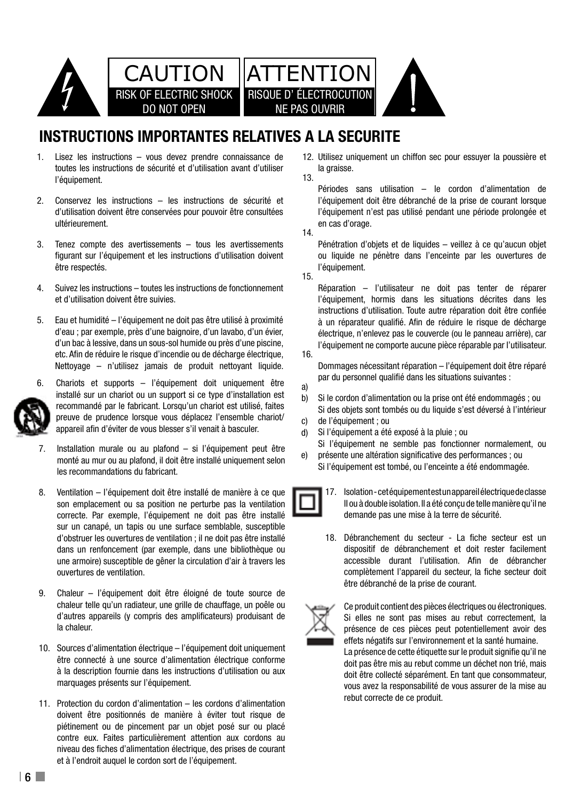

# **INSTRUCTIONS IMPORTANTES RELATIVES A LA SECURITE**

- Lisez les instructions vous devez prendre connaissance de toutes les instructions de sécurité et d'utilisation avant d'utiliser la grais: l'équipement. 1. intended to alert you to the presence of non insulated 13.
- 2. Conservez les instructions les instructions de sécurité et d'utilisation doivent être conservées pour pouvoir être consultées ultérieurement. 2.
- Tenez compte des avertissements tous les avertissements figurant sur l'équipement et les instructions d'utilisation doivent cou liquing tour liquing en la terme de la être respectés. 3.
- 4. Suivez les instructions toutes les instructions de fonctionnement Réparat et d'utilisation doivent être suivies. 4.
- Eau et humidité l'équipement ne doit pas être utilisé à proximité 5. operating instructions should be adhered to. 14 Object and liquid entry care should be taken so that d'eau ; par exemple, près d'une baignoire, d'un lavabo, d'un évier, electrique d'ann le d'un bac à lessive, dans un sous-sol humide ou près d'une piscine, etc. Afin de réduire le risque d'incendie ou de décharge électrique, 16. service in de redaire le risque d'internate eu de décharge chedrique,<br>Nettoyage – n'utilisez jamais de produit nettoyant liquide.



- 6. par du powert in a gradu power and the correct or the supports – l'équipement doit uniquement être and par du preuve de prudence lorsque vous déplacez l'ensemble chariot/ c) de l'équ or exhibit a manufacturer de vous blesser s'il venait à basculer.  $\frac{1}{10}$  si l'é installé sur un chariot ou un support si ce type d'installation est  $h(x) = \frac{1}{2} \sum_{n=0}^{\infty}$ recommandé par le fabricant. Lorsqu'un chariot est utilisé, faites
- 7. Installation murale ou au plafond si l'équipement peut être monté au mur ou au plafond, il doit être installé uniquement selon <sup>e) present</sup> les recommandations du fabricant. the application of the application that described in the operation of the operation of the operation of the operation of the operation of the operation of the operation of the operation of the operation of the operation of 7.
- 8. Ventilation l'équipement doit être installé de manière à ce que son emplacement ou sa position ne perturbe pas la ventilation  $\Box$ correcte. Par exemple, l'équipement ne doit pas être installé sur un canapé, un tapis ou une surface semblable, susceptible dousliner les ouvertures de vermaturir, in ne doit pas eue mistaire<br>dans un renfoncement (par exemple, dans une bibliothèque ou une armoire) susceptible de gêner la circulation d'air à travers les d'obstruer les ouvertures de ventilation ; il ne doit pas être installé 18. ouvertures de ventilation. 8.
- 9. Chaleur l'équipement doit être éloigné de toute source de d'autres appareils (y compris des amplificateurs) produisant de la chaleur. chaleur telle qu'un radiateur, une grille de chauffage, un poêle ou  $\sqrt{1-\alpha}$ 
	- 10. Sources d'alimentation électrique l'équipement doit uniquement etre de mains de mains sociale de la proprietation de la mains de la production de la production de la product<br>être connecté à une source d'alimentation électrique conforme à la description fournie dans les instructions d'utilisation ou aux marquages présents sur l'équipement.
		- 11. Protection du cordon d'alimentation les cordons d'alimentation doivent être positionnés de manière à éviter tout risque de piétinement ou de pincement par un objet posé sur ou placé contre eux. Faites particulièrement attention aux cordons au niveau des fiches d'alimentation électrique, des prises de courant et à l'endroit auquel le cordon sort de l'équipement.

12. Utilisez uniquement un chiffon sec pour essuyer la poussière et la graisse.

ence of sufficient may be rigated and the production de production de rigated by production de production de production de production de production de production de production de production de production de production de p l'équipement doit être débranché de la prise de courant lorsque l'équipement n'est pas utilisé pendant une période prolongée et en cas d'orage.

operating and maintenance (see  $\overline{14}$ . the literature accompanying the appliance.

15.

16.

a)

Pénétration d'objets et de liquides – veillez à ce qu'aucun objet ou liquide ne pénètre dans l'enceinte par les ouvertures de l'équipement.

Réparation – l'utilisateur ne doit pas tenter de réparer l'équipement, hormis dans les situations décrites dans les instructions d'utilisation. Toute autre réparation doit être confiée à un réparateur qualifié. Afin de réduire le risque de décharge électrique, n'enlevez pas le couvercle (ou le panneau arrière), car l'équipement ne comporte aucune pièce réparable par l'utilisateur.

Dommages nécessitant réparation – l'équipement doit être réparé par du personnel qualifié dans les situations suivantes :

- Si le cordon d'alimentation ou la prise ont été endommagés : ou b)
- Si des objets sont tombés ou du liquide s'est déversé à l'intérieur de l'équipement ; ou c)
- Si l'équipement a été exposé à la pluie ; ou d)
- si l'équipement ne semble pas fonctionner normalement, ou<br>El l'équipement ne semble pas fonctionner normalement, ou présente une altération significative des performances ; ou e)
	- Si l'équipement est tombé, ou l'enceinte a été endommagée.



18. Débranchement du secteur - La fiche secteur est un dispositif de débranchement et doit rester facilement accessible durant l'utilisation. Afin de débrancher complètement l'appareil du secteur, la fiche secteur doit être débranché de la prise de courant.



Ce produit contient des pièces électriques ou électroniques. Si elles ne sont pas mises au rebut correctement, la présence de ces pièces peut potentiellement avoir des effets négatifs sur l'environnement et la santé humaine. La présence de cette étiquette sur le produit signifie qu'il ne

5 vous avez la responsabilité de vous assurer de la mise au doit pas être mis au rebut comme un déchet non trié, mais doit être collecté séparément. En tant que consommateur, rebut correcte de ce produit.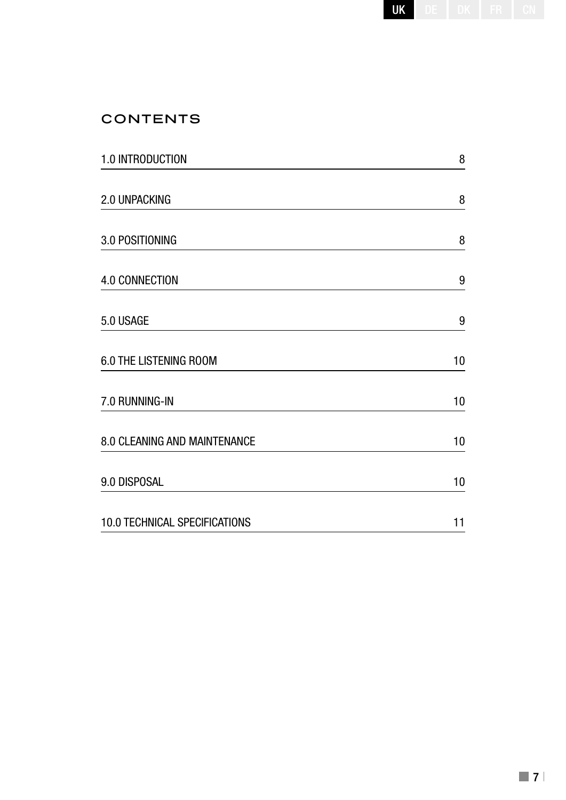| JK<br>,<br>1<br>J<br>٠<br>ĸ<br>×<br>۱<br>۱<br>ı<br>ī<br>ĸ<br>٠<br>ı. | ł<br>١<br>٠ |
|----------------------------------------------------------------------|-------------|
|----------------------------------------------------------------------|-------------|

# **CONTENTS**

| 1.0 INTRODUCTION              | 8  |
|-------------------------------|----|
| 2.0 UNPACKING                 | 8  |
| 3.0 POSITIONING               | 8  |
| 4.0 CONNECTION                | 9  |
| 5.0 USAGE                     | 9  |
| 6.0 THE LISTENING ROOM        | 10 |
| 7.0 RUNNING-IN                | 10 |
| 8.0 CLEANING AND MAINTENANCE  | 10 |
| 9.0 DISPOSAL                  | 10 |
| 10.0 TECHNICAL SPECIFICATIONS | 11 |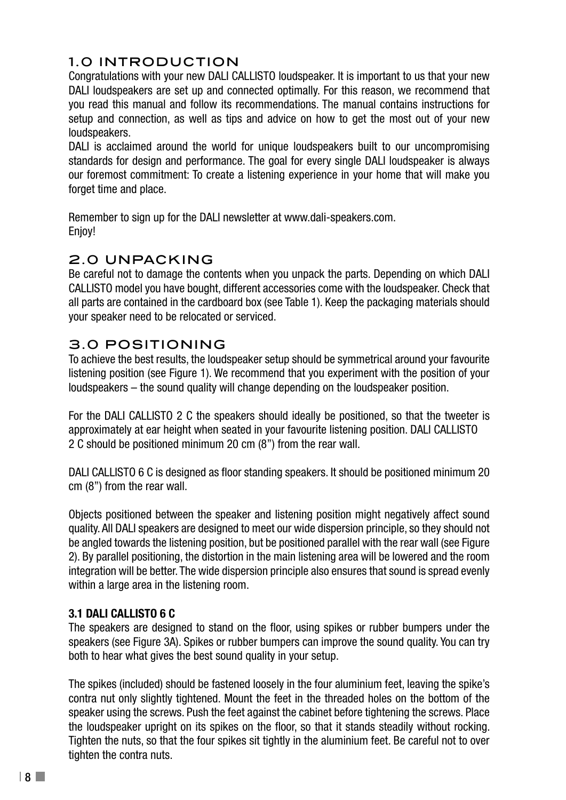## 1.0 INTRODUCTION

Congratulations with your new DALI CALLISTO loudspeaker. It is important to us that your new DALI loudspeakers are set up and connected optimally. For this reason, we recommend that you read this manual and follow its recommendations. The manual contains instructions for setup and connection, as well as tips and advice on how to get the most out of your new loudspeakers.

DALI is acclaimed around the world for unique loudspeakers built to our uncompromising standards for design and performance. The goal for every single DALI loudspeaker is always our foremost commitment: To create a listening experience in your home that will make you forget time and place.

Remember to sign up for the DALI newsletter at www.dali-speakers.com. Enjoy!

## 2.0 UNPACKING

Be careful not to damage the contents when you unpack the parts. Depending on which DALI CALLISTO model you have bought, different accessories come with the loudspeaker. Check that all parts are contained in the cardboard box (see Table 1). Keep the packaging materials should your speaker need to be relocated or serviced.

## 3.0 POSITIONING

To achieve the best results, the loudspeaker setup should be symmetrical around your favourite listening position (see Figure 1). We recommend that you experiment with the position of your loudspeakers – the sound quality will change depending on the loudspeaker position.

For the DALI CALLISTO 2 C the speakers should ideally be positioned, so that the tweeter is approximately at ear height when seated in your favourite listening position. DALI CALLISTO 2 C should be positioned minimum 20 cm (8") from the rear wall.

DALI CALLISTO 6 C is designed as floor standing speakers. It should be positioned minimum 20 cm (8") from the rear wall.

Objects positioned between the speaker and listening position might negatively affect sound quality. All DALI speakers are designed to meet our wide dispersion principle, so they should not be angled towards the listening position, but be positioned parallel with the rear wall (see Figure 2). By parallel positioning, the distortion in the main listening area will be lowered and the room integration will be better. The wide dispersion principle also ensures that sound is spread evenly within a large area in the listening room.

#### **3.1 DALI CALLISTO 6 C**

The speakers are designed to stand on the floor, using spikes or rubber bumpers under the speakers (see Figure 3A). Spikes or rubber bumpers can improve the sound quality. You can try both to hear what gives the best sound quality in your setup.

The spikes (included) should be fastened loosely in the four aluminium feet, leaving the spike's contra nut only slightly tightened. Mount the feet in the threaded holes on the bottom of the speaker using the screws. Push the feet against the cabinet before tightening the screws. Place the loudspeaker upright on its spikes on the floor, so that it stands steadily without rocking. Tighten the nuts, so that the four spikes sit tightly in the aluminium feet. Be careful not to over tighten the contra nuts.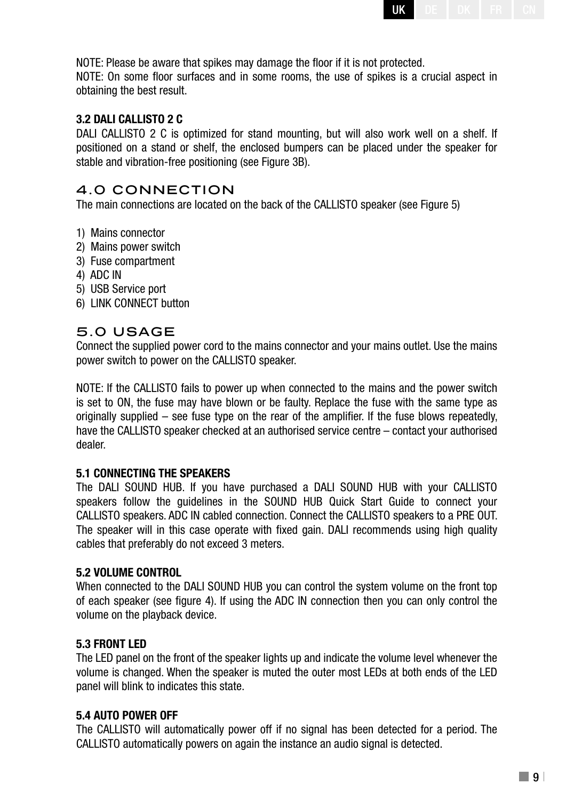

NOTE: Please be aware that spikes may damage the floor if it is not protected. NOTE: On some floor surfaces and in some rooms, the use of spikes is a crucial aspect in obtaining the best result.

#### **3.2 DALI CALLISTO 2 C**

DALI CALLISTO 2 C is optimized for stand mounting, but will also work well on a shelf. If positioned on a stand or shelf, the enclosed bumpers can be placed under the speaker for stable and vibration-free positioning (see Figure 3B).

#### 4.0 CONNECTION

The main connections are located on the back of the CALLISTO speaker (see Figure 5)

- 1) Mains connector
- 2) Mains power switch
- 3) Fuse compartment
- 4) ADC IN
- 5) USB Service port
- 6) LINK CONNECT button

#### 5.0 USAGE

Connect the supplied power cord to the mains connector and your mains outlet. Use the mains power switch to power on the CALLISTO speaker.

NOTE: If the CALLISTO fails to power up when connected to the mains and the power switch is set to ON, the fuse may have blown or be faulty. Replace the fuse with the same type as originally supplied – see fuse type on the rear of the amplifier. If the fuse blows repeatedly, have the CALLISTO speaker checked at an authorised service centre – contact your authorised dealer.

#### **5.1 CONNECTING THE SPEAKERS**

The DALI SOUND HUB. If you have purchased a DALI SOUND HUB with your CALLISTO speakers follow the guidelines in the SOUND HUB Quick Start Guide to connect your CALLISTO speakers. ADC IN cabled connection. Connect the CALLISTO speakers to a PRE OUT. The speaker will in this case operate with fixed gain. DALI recommends using high quality cables that preferably do not exceed 3 meters.

#### **5.2 VOLUME CONTROL**

When connected to the DALI SOUND HUB you can control the system volume on the front top of each speaker (see figure 4). If using the ADC IN connection then you can only control the volume on the playback device.

#### **5.3 FRONT LED**

The LED panel on the front of the speaker lights up and indicate the volume level whenever the volume is changed. When the speaker is muted the outer most LEDs at both ends of the LED panel will blink to indicates this state.

#### **5.4 AUTO POWER OFF**

The CALLISTO will automatically power off if no signal has been detected for a period. The CALLISTO automatically powers on again the instance an audio signal is detected.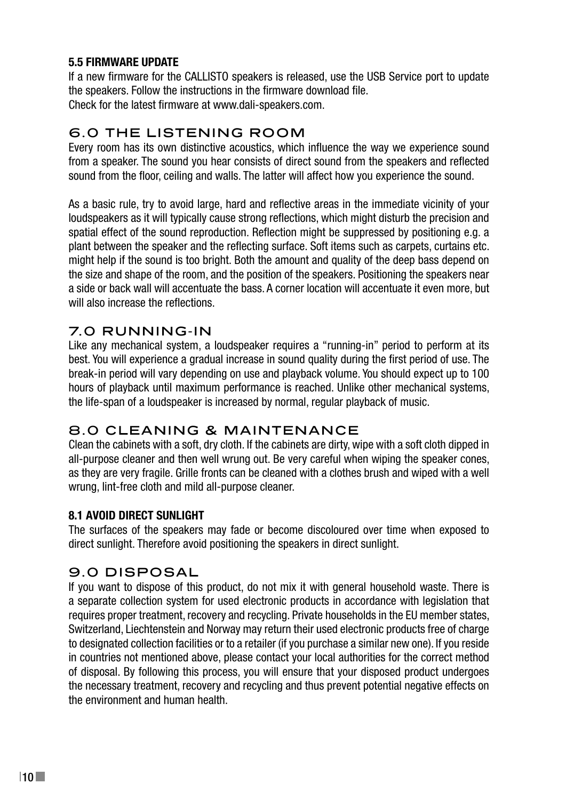#### **5.5 FIRMWARE UPDATE**

If a new firmware for the CALLISTO speakers is released, use the USB Service port to update the speakers. Follow the instructions in the firmware download file. Check for the latest firmware at www.dali-speakers.com.

## 6.0 THE LISTENING ROOM

Every room has its own distinctive acoustics, which influence the way we experience sound from a speaker. The sound you hear consists of direct sound from the speakers and reflected sound from the floor, ceiling and walls. The latter will affect how you experience the sound.

As a basic rule, try to avoid large, hard and reflective areas in the immediate vicinity of your loudspeakers as it will typically cause strong reflections, which might disturb the precision and spatial effect of the sound reproduction. Reflection might be suppressed by positioning e.g. a plant between the speaker and the reflecting surface. Soft items such as carpets, curtains etc. might help if the sound is too bright. Both the amount and quality of the deep bass depend on the size and shape of the room, and the position of the speakers. Positioning the speakers near a side or back wall will accentuate the bass. A corner location will accentuate it even more, but will also increase the reflections.

## 7.0 RUNNING-IN

Like any mechanical system, a loudspeaker requires a "running-in" period to perform at its best. You will experience a gradual increase in sound quality during the first period of use. The break-in period will vary depending on use and playback volume. You should expect up to 100 hours of playback until maximum performance is reached. Unlike other mechanical systems, the life-span of a loudspeaker is increased by normal, regular playback of music.

## 8.0 CLEANING & MAINTENANCE

Clean the cabinets with a soft, dry cloth. If the cabinets are dirty, wipe with a soft cloth dipped in all-purpose cleaner and then well wrung out. Be very careful when wiping the speaker cones, as they are very fragile. Grille fronts can be cleaned with a clothes brush and wiped with a well wrung, lint-free cloth and mild all-purpose cleaner.

#### **8.1 AVOID DIRECT SUNLIGHT**

The surfaces of the speakers may fade or become discoloured over time when exposed to direct sunlight. Therefore avoid positioning the speakers in direct sunlight.

## 9.0 DISPOSAL

If you want to dispose of this product, do not mix it with general household waste. There is a separate collection system for used electronic products in accordance with legislation that requires proper treatment, recovery and recycling. Private households in the EU member states, Switzerland, Liechtenstein and Norway may return their used electronic products free of charge to designated collection facilities or to a retailer (if you purchase a similar new one). If you reside in countries not mentioned above, please contact your local authorities for the correct method of disposal. By following this process, you will ensure that your disposed product undergoes the necessary treatment, recovery and recycling and thus prevent potential negative effects on the environment and human health.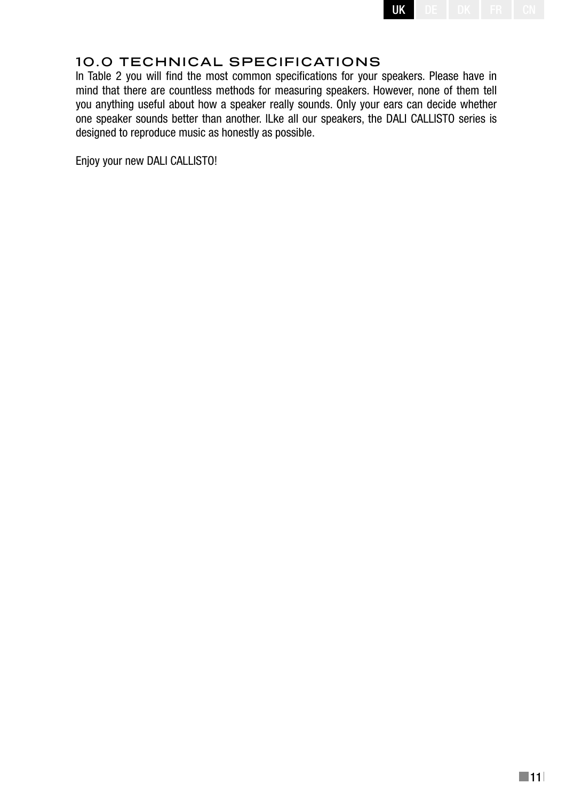

## 10.0 TECHNICAL SPECIFICATIONS

In Table 2 you will find the most common specifications for your speakers. Please have in mind that there are countless methods for measuring speakers. However, none of them tell you anything useful about how a speaker really sounds. Only your ears can decide whether one speaker sounds better than another. lLke all our speakers, the DALI CALLISTO series is designed to reproduce music as honestly as possible.

Enjoy your new DALI CALLISTO!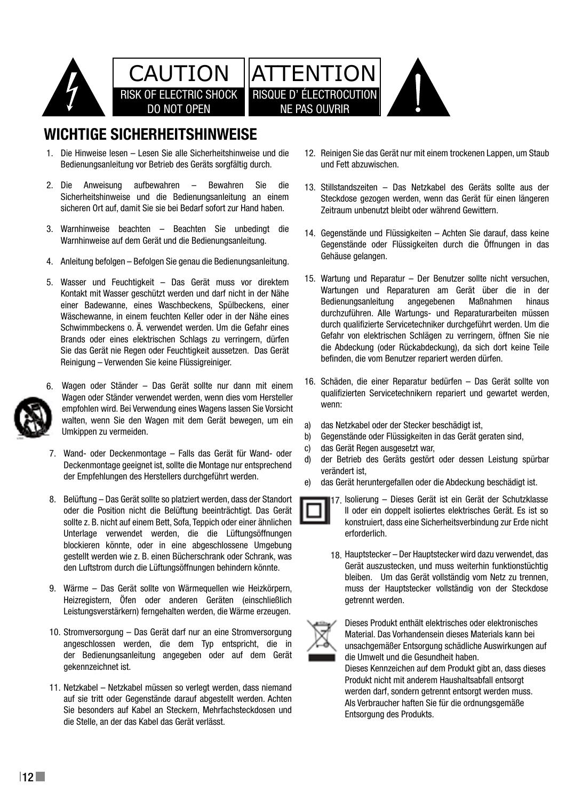

# **WICHTIGE SICHERHEITSHINWEISE**

- 1. Die Hinweise lesen Lesen Sie alle Sicherheitshinweise und die Bedienungsanleitung vor Betrieb des Geräts sorgfältig durch.
- 2. Die Anweisung aufbewahren Bewahren Sie die Sicherheitshinweise und die Bedienungsanleitung an einem Sicherheitshinweise und die Bedienungsamentung am einer
- 3. Warnhinweise beachten Beachten Sie unbedingt die <sub>14 Gene</sub> Warnhinweise auf dem Gerät und die Bedienungsanleitung.
	- 4. Anleitung befolgen Befolgen Sie genau die Bedienungsanleitung.
- 5. Wasser und Feuchtigkeit Das Gerät muss vor direktem <sup>15.</sup> Wartung un Kontakt mit Wasser geschützt werden und darf nicht in der Nähe einer Badewanne, eines Waschbeckens, Spülbeckens, einer Mäschewanne, in einem feuchten Keller oder in der Nähe eines durchzuführ Schwimmbeckens o. A. verwendet werden. Um die Gefahr eines Brands oder eines elektrischen Schlags zu verringern, dürfen Sie das Gerät nie Regen oder Feuchtigkeit aussetzen. Das Gerät bei die Abdeckl Sie das dordt no hegen oan i bannigheit dasselzen. Bas dordt<br>Reinigung – Verwenden Sie keine Flüssigreiniger.



- empfohlen wird. Bei Verwendung eines Wagens lassen Sie Vorsicht wenn walten, wenn Sie den Wagen mit dem Gerät bewegen, um ein  $\alpha$ Umkippen zu vermeiden. 6. Wagen oder Ständer – Das Gerät sollte nur dann mit einem Wagen oder Ständer verwendet werden, wenn dies vom Hersteller into interventen
- 7. Wand- oder Deckenmontage Falls das Gerät für Wand- oder 16 Service Communicaties - the statement only a the version of the settled die Deckenmontage geeignet ist, sollte die Montage nur entsprechend d) der Betrieb der Empfehlungen des Herstellers durchgeführt werden. Der den gesonden betranden bei
- 8. Belüftung Das Gerät sollte so platziert werden, dass der Standort oder die Position nicht die Belüftung beeinträchtigt. Das Gerät sollte z. B. nicht auf einem Bett, Sofa, Teppich oder einer ähnlichen Unterlage verwendet werden, die die Lüftungsöffnungen sources showing such as a radius or other heat registers, and the such as  $q$ den Luftstrom durch die Lüftungsöffnungen behindern könnte. När hander auch die Lüftungsteit 18 Danger of explosion if battery is incorrectly replaced. blockieren könnte, oder in eine abgeschlossene Umgebung Replace only with the same or equivalent type. gestellt werden wie z. B. einen Bücherschrank oder Schrank, was
- 9. Wärme Das Gerät sollte von Wärmequellen wie Heizkörpern, Heizregistern, Öfen oder anderen Geräten (einschließlich operation not registen, order and does not registen (onderweishen) geen does not registen verden, die Wärme erzeugen.
- 10. Stromversorgung Das Gerät darf nur an eine Stromversorgung angeschlossen werden, die dem Typ entspricht, die in der Bedienungsanleitung angegeben oder auf dem Gerät gekennzeichnet ist.
	- 11. Netzkabel Netzkabel müssen so verlegt werden, dass niemand auf sie tritt oder Gegenstände darauf abgestellt werden. Achten Sie besonders auf Kabel an Steckern, Mehrfachsteckdosen und die Stelle, an der das Kabel das Gerät verlässt.
- 12. Reinigen Sie das Gerät nur mit einem trockenen Lappen, um Staub France is the lightning fluid and triangle is the presence of the presence of the presence of non-
- 13. Stillstandszeiten Das Netzkabel des Geräts sollte aus der Steckdose gezogen werden, wenn das Gerät für einen längeren d haben.  $\hbox{\large Ze}$ itraum unbenutzt bleibt oder während Gewittern. sie die 12 stillotopdeze is to the presence of  $\alpha$
- 14. Gegenstände und Flüssigkeiten Achten Sie darauf, dass keine i<del>c</del> bedienungsamenung. Mas Gegenstände oder Flüssigkeiten durch die Offnungen in das Gehäuse gelangen.
- Gerät muss vor direktem 15. Wartung und Reparatur Der Benutzer sollte nicht versuchen, Wartungen und Reparaturen am Gerät über die in der Bedienungsanleitung angegebenen Maßnahmen hinaus durchzuführen. Alle Wartungs- und Reparaturarbeiten müssen er oder in der nahe eines<br>rden IIm die Gefahr eines ab durch qualifizierte Servicetechniker durchgeführt werden. Um die Gefahr von elektrischen Schlägen zu verringern, öffnen Sie nie die Abdeckung (oder Rückabdeckung), da sich dort keine Teile befinden, die vom Benutzer repariert werden dürfen.
	- te nur dann mit einem 16. Schäden, die einer Reparatur bedürfen Das Gerät sollte von qualifizierten Servicetechnikern repariert und gewartet werden, wenn:
		- das Netzkabel oder der Stecker beschädigt ist, a)
	- d, das Roamasor oder der Geoner Boosmange ist, b)
		- das Gerät Regen ausgesetzt war, c)
		- der Betrieb des Geräts gestört oder dessen Leistung spürbar verändert ist, d)
	- e) das Gerät heruntergefallen oder die Abdeckung beschädigt ist. e)
		- 17. Isolierung Dieses Gerät ist ein Gerät der Schutzklasse II oder ein doppelt isoliertes elektrisches Gerät. Es ist so konstruiert, dass eine Sicherheitsverbindung zur Erde nicht erforderlich.
	- bleiben. Um das Gerät vollständig vom Netz zu trennen, 18. Hauptstecker – Der Hauptstecker wird dazu verwendet, das Gerät auszustecken, und muss weiterhin funktionstüchtig muss der Hauptstecker vollständig von der Steckdose getrennt werden.



Dieses Produkt enthält elektrisches oder elektronisches Material. Das Vorhandensein dieses Materials kann bei unsachgemäßer Entsorgung schädliche Auswirkungen auf die Umwelt und die Gesundheit haben.

5 Als Verbraucher haften Sie für die ordnungsgemäße Dieses Kennzeichen auf dem Produkt gibt an, dass dieses Produkt nicht mit anderem Haushaltsabfall entsorgt werden darf, sondern getrennt entsorgt werden muss. Entsorgung des Produkts.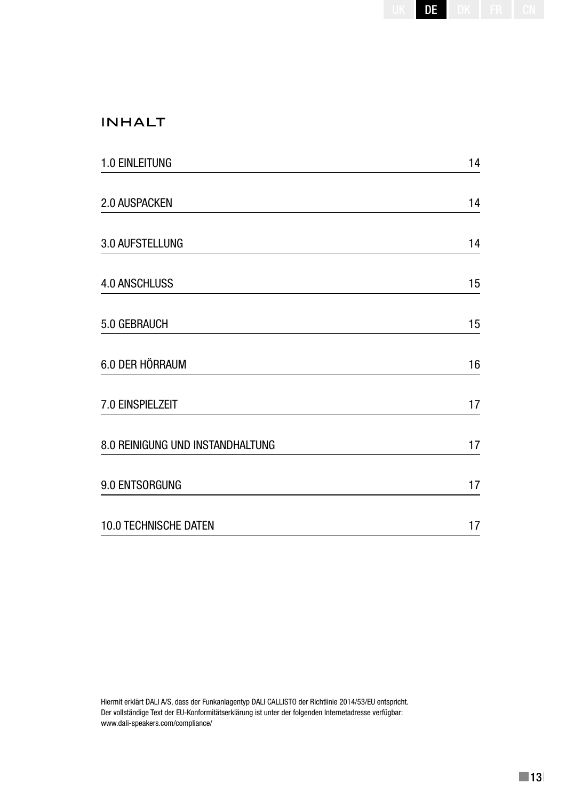| DF | ı<br>ı<br>ĸ | ī<br>í<br>ī |  |
|----|-------------|-------------|--|
|    |             |             |  |

## INHALT

| 1.0 EINLEITUNG                   | 14 |
|----------------------------------|----|
| 2.0 AUSPACKEN                    | 14 |
| 3.0 AUFSTELLUNG                  | 14 |
| <b>4.0 ANSCHLUSS</b>             | 15 |
| 5.0 GEBRAUCH                     | 15 |
| 6.0 DER HÖRRAUM                  | 16 |
| 7.0 EINSPIELZEIT                 | 17 |
| 8.0 REINIGUNG UND INSTANDHALTUNG | 17 |
| 9.0 ENTSORGUNG                   | 17 |
| 10.0 TECHNISCHE DATEN            | 17 |

Hiermit erklärt DALI A/S, dass der Funkanlagentyp DALI CALLISTO der Richtlinie 2014/53/EU entspricht. Der vollständige Text der EU-Konformitätserklärung ist unter der folgenden Internetadresse verfügbar: www.dali-speakers.com/compliance/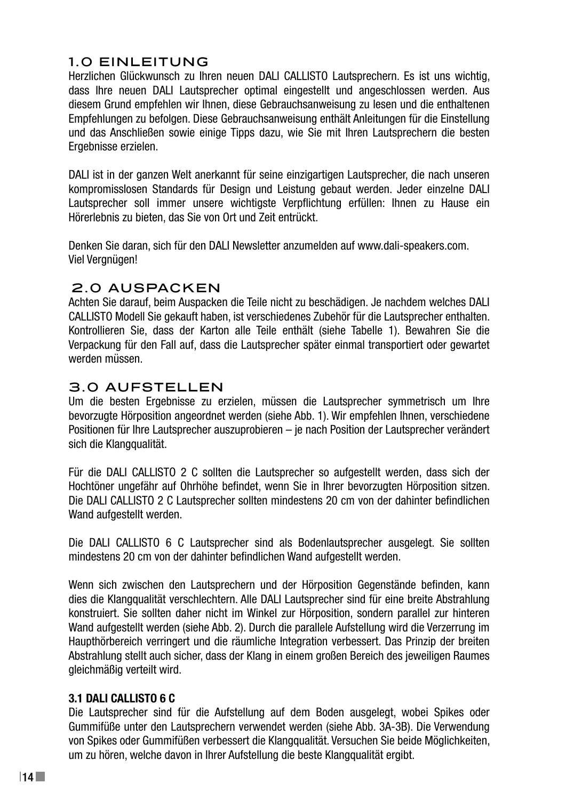## 1.0 EINLEITUNG

Herzlichen Glückwunsch zu Ihren neuen DALI CALLISTO Lautsprechern. Es ist uns wichtig, dass Ihre neuen DALI Lautsprecher optimal eingestellt und angeschlossen werden. Aus diesem Grund empfehlen wir Ihnen, diese Gebrauchsanweisung zu lesen und die enthaltenen Empfehlungen zu befolgen. Diese Gebrauchsanweisung enthält Anleitungen für die Einstellung und das Anschließen sowie einige Tipps dazu, wie Sie mit Ihren Lautsprechern die besten Ergebnisse erzielen.

DALI ist in der ganzen Welt anerkannt für seine einzigartigen Lautsprecher, die nach unseren kompromisslosen Standards für Design und Leistung gebaut werden. Jeder einzelne DALI Lautsprecher soll immer unsere wichtigste Verpflichtung erfüllen: Ihnen zu Hause ein Hörerlebnis zu bieten, das Sie von Ort und Zeit entrückt.

Denken Sie daran, sich für den DALI Newsletter anzumelden auf www.dali-speakers.com. Viel Vergnügen!

#### 2.0 AUSPACKEN

Achten Sie darauf, beim Auspacken die Teile nicht zu beschädigen. Je nachdem welches DALI CALLISTO Modell Sie gekauft haben, ist verschiedenes Zubehör für die Lautsprecher enthalten. Kontrollieren Sie, dass der Karton alle Teile enthält (siehe Tabelle 1). Bewahren Sie die Verpackung für den Fall auf, dass die Lautsprecher später einmal transportiert oder gewartet werden müssen.

## 3.0 AUFSTELLEN

Um die besten Ergebnisse zu erzielen, müssen die Lautsprecher symmetrisch um Ihre bevorzugte Hörposition angeordnet werden (siehe Abb. 1). Wir empfehlen Ihnen, verschiedene Positionen für Ihre Lautsprecher auszuprobieren – je nach Position der Lautsprecher verändert sich die Klangqualität.

Für die DALI CALLISTO 2 C sollten die Lautsprecher so aufgestellt werden, dass sich der Hochtöner ungefähr auf Ohrhöhe befindet, wenn Sie in Ihrer bevorzugten Hörposition sitzen. Die DALI CALLISTO 2 C Lautsprecher sollten mindestens 20 cm von der dahinter befindlichen Wand aufgestellt werden.

Die DALI CALLISTO 6 C Lautsprecher sind als Bodenlautsprecher ausgelegt. Sie sollten mindestens 20 cm von der dahinter befindlichen Wand aufgestellt werden.

Wenn sich zwischen den Lautsprechern und der Hörposition Gegenstände befinden, kann dies die Klangqualität verschlechtern. Alle DALI Lautsprecher sind für eine breite Abstrahlung konstruiert. Sie sollten daher nicht im Winkel zur Hörposition, sondern parallel zur hinteren Wand aufgestellt werden (siehe Abb. 2). Durch die parallele Aufstellung wird die Verzerrung im Haupthörbereich verringert und die räumliche Integration verbessert. Das Prinzip der breiten Abstrahlung stellt auch sicher, dass der Klang in einem großen Bereich des jeweiligen Raumes gleichmäßig verteilt wird.

#### **3.1 DALI CALLISTO 6 C**

Die Lautsprecher sind für die Aufstellung auf dem Boden ausgelegt, wobei Spikes oder Gummifüße unter den Lautsprechern verwendet werden (siehe Abb. 3A-3B). Die Verwendung von Spikes oder Gummifüßen verbessert die Klangqualität. Versuchen Sie beide Möglichkeiten, um zu hören, welche davon in Ihrer Aufstellung die beste Klangqualität ergibt.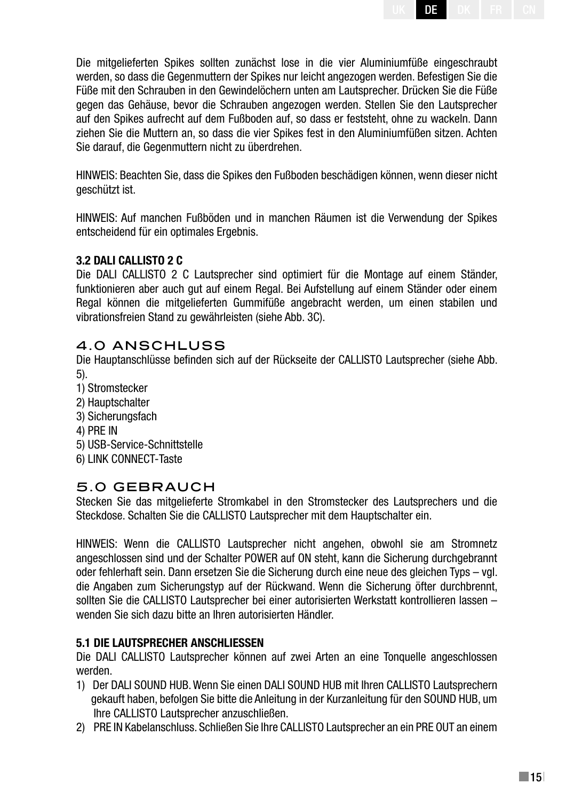UK | DE | DK | FR | CN

Die mitgelieferten Spikes sollten zunächst lose in die vier Aluminiumfüße eingeschraubt werden, so dass die Gegenmuttern der Spikes nur leicht angezogen werden. Befestigen Sie die Füße mit den Schrauben in den Gewindelöchern unten am Lautsprecher. Drücken Sie die Füße gegen das Gehäuse, bevor die Schrauben angezogen werden. Stellen Sie den Lautsprecher auf den Spikes aufrecht auf dem Fußboden auf, so dass er feststeht, ohne zu wackeln. Dann ziehen Sie die Muttern an, so dass die vier Spikes fest in den Aluminiumfüßen sitzen. Achten Sie darauf, die Gegenmuttern nicht zu überdrehen.

HINWEIS: Beachten Sie, dass die Spikes den Fußboden beschädigen können, wenn dieser nicht geschützt ist.

HINWEIS: Auf manchen Fußböden und in manchen Räumen ist die Verwendung der Spikes entscheidend für ein optimales Ergebnis.

#### **3.2 DALI CALLISTO 2 C**

Die DALI CALLISTO 2 C Lautsprecher sind optimiert für die Montage auf einem Ständer, funktionieren aber auch gut auf einem Regal. Bei Aufstellung auf einem Ständer oder einem Regal können die mitgelieferten Gummifüße angebracht werden, um einen stabilen und vibrationsfreien Stand zu gewährleisten (siehe Abb. 3C).

#### 4.0 ANSCHLUSS

Die Hauptanschlüsse befinden sich auf der Rückseite der CALLISTO Lautsprecher (siehe Abb. 5).

- 1) Stromstecker
- 2) Hauptschalter
- 3) Sicherungsfach
- 4) PRE IN
- 5) USB-Service-Schnittstelle
- 6) LINK CONNECT-Taste

#### 5.0 GEBRAUCH

Stecken Sie das mitgelieferte Stromkabel in den Stromstecker des Lautsprechers und die Steckdose. Schalten Sie die CALLISTO Lautsprecher mit dem Hauptschalter ein.

HINWEIS: Wenn die CALLISTO Lautsprecher nicht angehen, obwohl sie am Stromnetz angeschlossen sind und der Schalter POWER auf ON steht, kann die Sicherung durchgebrannt oder fehlerhaft sein. Dann ersetzen Sie die Sicherung durch eine neue des gleichen Typs – vgl. die Angaben zum Sicherungstyp auf der Rückwand. Wenn die Sicherung öfter durchbrennt, sollten Sie die CALLISTO Lautsprecher bei einer autorisierten Werkstatt kontrollieren lassen – wenden Sie sich dazu bitte an Ihren autorisierten Händler.

#### **5.1 Die Lautsprecher anschlieSSen**

Die DALI CALLISTO Lautsprecher können auf zwei Arten an eine Tonquelle angeschlossen werden.

- 1) Der DALI SOUND HUB. Wenn Sie einen DALI SOUND HUB mit Ihren CALLISTO Lautsprechern gekauft haben, befolgen Sie bitte die Anleitung in der Kurzanleitung für den SOUND HUB, um Ihre CALLISTO Lautsprecher anzuschließen.
- 2) PRE IN Kabelanschluss. Schließen Sie Ihre CALLISTO Lautsprecher an ein PRE OUT an einem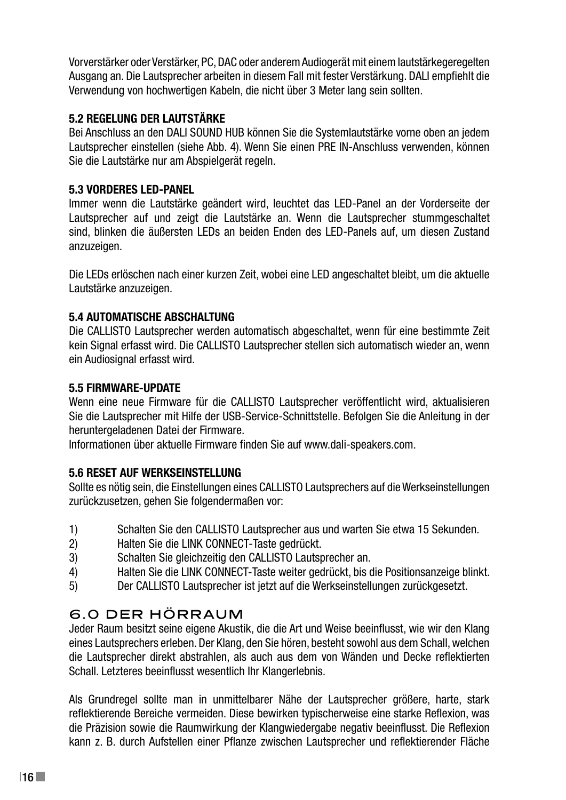Vorverstärker oder Verstärker, PC, DAC oder anderem Audiogerät mit einem lautstärkegeregelten Ausgang an. Die Lautsprecher arbeiten in diesem Fall mit fester Verstärkung. DALI empfiehlt die Verwendung von hochwertigen Kabeln, die nicht über 3 Meter lang sein sollten.

#### **5.2 Regelung der Lautstärke**

Bei Anschluss an den DALI SOUND HUB können Sie die Systemlautstärke vorne oben an jedem Lautsprecher einstellen (siehe Abb. 4). Wenn Sie einen PRE IN-Anschluss verwenden, können Sie die Lautstärke nur am Abspielgerät regeln.

#### **5.3 VORDERES LED-PANEL**

Immer wenn die Lautstärke geändert wird, leuchtet das LED-Panel an der Vorderseite der Lautsprecher auf und zeigt die Lautstärke an. Wenn die Lautsprecher stummgeschaltet sind, blinken die äußersten LEDs an beiden Enden des LED-Panels auf, um diesen Zustand anzuzeigen.

Die LEDs erlöschen nach einer kurzen Zeit, wobei eine LED angeschaltet bleibt, um die aktuelle Lautstärke anzuzeigen.

#### **5.4 AUTOMATISCHE ABSCHALTUNG**

Die CALLISTO Lautsprecher werden automatisch abgeschaltet, wenn für eine bestimmte Zeit kein Signal erfasst wird. Die CALLISTO Lautsprecher stellen sich automatisch wieder an, wenn ein Audiosignal erfasst wird.

#### **5.5 FIRMWARE-UPDATE**

Wenn eine neue Firmware für die CALLISTO Lautsprecher veröffentlicht wird, aktualisieren Sie die Lautsprecher mit Hilfe der USB-Service-Schnittstelle. Befolgen Sie die Anleitung in der heruntergeladenen Datei der Firmware.

Informationen über aktuelle Firmware finden Sie auf www.dali-speakers.com.

#### **5.6 RESET AUF WERKSEINSTELLUNG**

Sollte es nötig sein, die Einstellungen eines CALLISTO Lautsprechers auf die Werkseinstellungen zurückzusetzen, gehen Sie folgendermaßen vor:

- 1) Schalten Sie den CALLISTO Lautsprecher aus und warten Sie etwa 15 Sekunden.
- 2) Halten Sie die LINK CONNECT-Taste gedrückt.
- 3) Schalten Sie gleichzeitig den CALLISTO Lautsprecher an.
- 4) Halten Sie die LINK CONNECT-Taste weiter gedrückt, bis die Positionsanzeige blinkt.
- 5) Der CALLISTO Lautsprecher ist jetzt auf die Werkseinstellungen zurückgesetzt.

## 6.0 DER HÖRRAUM

Jeder Raum besitzt seine eigene Akustik, die die Art und Weise beeinflusst, wie wir den Klang eines Lautsprechers erleben. Der Klang, den Sie hören, besteht sowohl aus dem Schall, welchen die Lautsprecher direkt abstrahlen, als auch aus dem von Wänden und Decke reflektierten Schall. Letzteres beeinflusst wesentlich Ihr Klangerlebnis.

Als Grundregel sollte man in unmittelbarer Nähe der Lautsprecher größere, harte, stark reflektierende Bereiche vermeiden. Diese bewirken typischerweise eine starke Reflexion, was die Präzision sowie die Raumwirkung der Klangwiedergabe negativ beeinflusst. Die Reflexion kann z. B. durch Aufstellen einer Pflanze zwischen Lautsprecher und reflektierender Fläche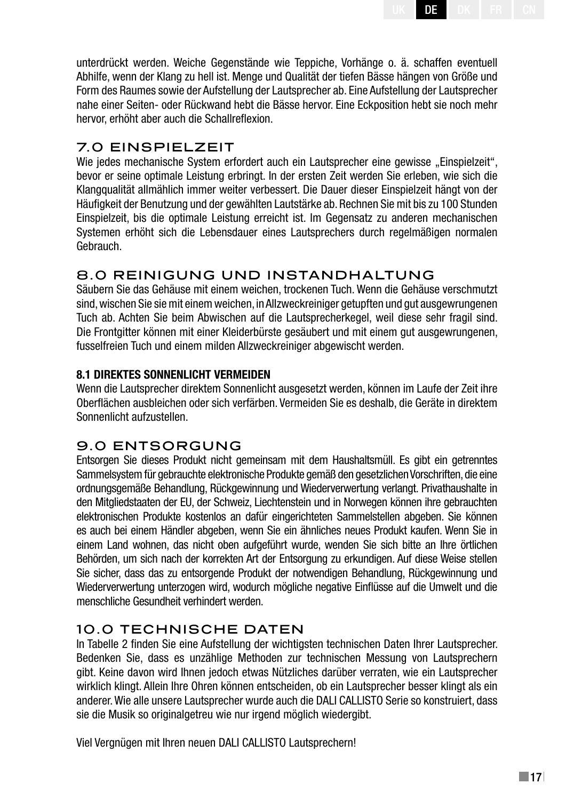unterdrückt werden. Weiche Gegenstände wie Teppiche, Vorhänge o. ä. schaffen eventuell Abhilfe, wenn der Klang zu hell ist. Menge und Qualität der tiefen Bässe hängen von Größe und Form des Raumes sowie der Aufstellung der Lautsprecher ab. Eine Aufstellung der Lautsprecher nahe einer Seiten- oder Rückwand hebt die Bässe hervor. Eine Eckposition hebt sie noch mehr hervor, erhöht aber auch die Schallreflexion.

UK | DE | DK | FR | CN

## 7.0 EINSPIELZEIT

Wie jedes mechanische System erfordert auch ein Lautsprecher eine gewisse "Einspielzeit". bevor er seine optimale Leistung erbringt. In der ersten Zeit werden Sie erleben, wie sich die Klangqualität allmählich immer weiter verbessert. Die Dauer dieser Einspielzeit hängt von der Häufigkeit der Benutzung und der gewählten Lautstärke ab. Rechnen Sie mit bis zu 100 Stunden Einspielzeit, bis die optimale Leistung erreicht ist. Im Gegensatz zu anderen mechanischen Systemen erhöht sich die Lebensdauer eines Lautsprechers durch regelmäßigen normalen Gebrauch.

## 8.0 REINIGUNG UND INSTANDHALTUNG

Säubern Sie das Gehäuse mit einem weichen, trockenen Tuch. Wenn die Gehäuse verschmutzt sind, wischen Sie sie mit einem weichen, in Allzweckreiniger getupften und gut ausgewrungenen Tuch ab. Achten Sie beim Abwischen auf die Lautsprecherkegel, weil diese sehr fragil sind. Die Frontgitter können mit einer Kleiderbürste gesäubert und mit einem gut ausgewrungenen, fusselfreien Tuch und einem milden Allzweckreiniger abgewischt werden.

#### **8.1 DIREKTES SONNENLICHT VERMEIDEN**

Wenn die Lautsprecher direktem Sonnenlicht ausgesetzt werden, können im Laufe der Zeit ihre Oberflächen ausbleichen oder sich verfärben. Vermeiden Sie es deshalb, die Geräte in direktem Sonnenlicht aufzustellen.

## 9.0 ENTSORGUNG

Entsorgen Sie dieses Produkt nicht gemeinsam mit dem Haushaltsmüll. Es gibt ein getrenntes Sammelsystem für gebrauchte elektronische Produkte gemäß den gesetzlichen Vorschriften, die eine ordnungsgemäße Behandlung, Rückgewinnung und Wiederverwertung verlangt. Privathaushalte in den Mitgliedstaaten der EU, der Schweiz, Liechtenstein und in Norwegen können ihre gebrauchten elektronischen Produkte kostenlos an dafür eingerichteten Sammelstellen abgeben. Sie können es auch bei einem Händler abgeben, wenn Sie ein ähnliches neues Produkt kaufen. Wenn Sie in einem Land wohnen, das nicht oben aufgeführt wurde, wenden Sie sich bitte an Ihre örtlichen Behörden, um sich nach der korrekten Art der Entsorgung zu erkundigen. Auf diese Weise stellen Sie sicher, dass das zu entsorgende Produkt der notwendigen Behandlung, Rückgewinnung und Wiederverwertung unterzogen wird, wodurch mögliche negative Einflüsse auf die Umwelt und die menschliche Gesundheit verhindert werden.

## 10.0 TECHNISCHE DATEN

In Tabelle 2 finden Sie eine Aufstellung der wichtigsten technischen Daten Ihrer Lautsprecher. Bedenken Sie, dass es unzählige Methoden zur technischen Messung von Lautsprechern gibt. Keine davon wird Ihnen jedoch etwas Nützliches darüber verraten, wie ein Lautsprecher wirklich klingt. Allein Ihre Ohren können entscheiden, ob ein Lautsprecher besser klingt als ein anderer. Wie alle unsere Lautsprecher wurde auch die DALI CALLISTO Serie so konstruiert, dass sie die Musik so originalgetreu wie nur irgend möglich wiedergibt.

Viel Vergnügen mit Ihren neuen DALI CALLISTO Lautsprechern!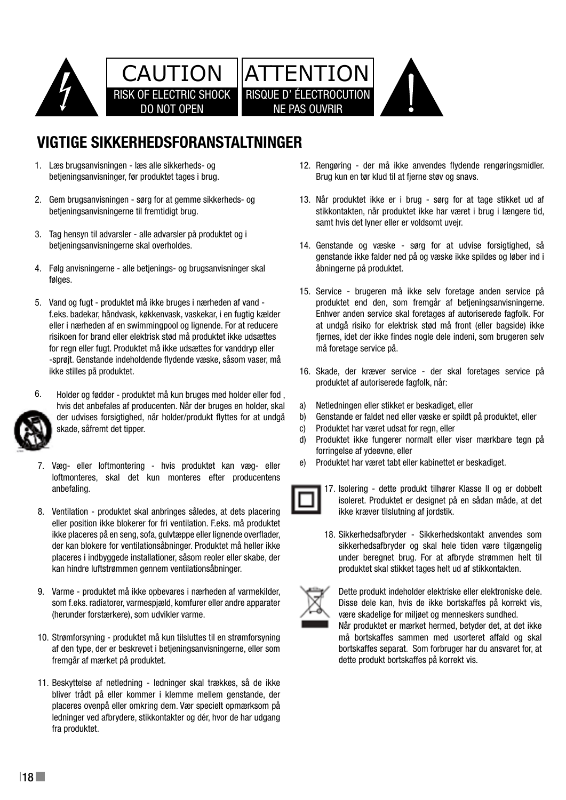

# **VIGTIGE SIKKERHEDSFORANSTALTNINGER**

- Læs brugsanvisningen læs alle sikkerheds- og 1. betjeningsanvisninger, før produktet tages i brug.
- 2. Gem brugsanvisningen sørg for at gemme sikkerheds- og E. dom brugsanvisningerne til fremtidigt brug.
- 3. Tag hensyn til advarsler alle advarsler på produktet og i betjeningsanvisningerne skal overholdes.
- Følg anvisningerne alle betjenings- og brugsanvisninger skal 4. 1 Read instructions all the safety and operating instructions should be read before the appliance is operated. 12 Cleaning do not use any liquid cleaners. Use only a dry cloth to wipe off dust and grease. følges.  $2$  Retain instructions  $\frac{1}{2}$
- 5. Vand og fugt produktet må ikke bruges i nærheden af vand produktet er f.eks. badekar, håndvask, køkkenvask, vaskekar, i en fugtig kælder eller i nærheden af en swimmingpool og lignende. For at reducere at undgå risi risikoen for brand eller elektrisk stød må produktet ikke udsættes fjernes, idet d Follow instructions operating the produkter into decented the produkter in the decented for regn eller fugt. Produktet må ikke udsættes for vanddryp eller -sprøjt. Genstande indeholdende flydende væske, såsom vaser, må ikke stilles på produktet. water - for example, near a bathtub, washbowl, washbowl, washbowl, kitchen sink, washbowl, kitchen sink, washbowl, kitchen sink, washbowl, washbowl, washbowl, washbowl, washbowl, washbowl, washbowl, washbowl, washbowl, was serviced by qualifi ed personnel when:



- 6. 6. Holder og fødder - produktet må kun bruges med holder eller fod , produktet at d skade, såfremt det tipper. hvis det anbefales af producenten. Når der bruges en holder, skal a) Netledningen der udvises forsigtighed, når holder/produkt flyttes for at undgå
- 7. Væg- eller loftmontering hvis produktet kan væg- eller 16 Service Commentacturer. The manufacturer of the manufacturer.<br>16 September - the user should not attempt to service the producentens anbefaling.
- 8. Ventilation produktet skal anbringes således, at dets placering eller position ikke blokerer for fri ventilation. F.eks. må produktet ikke placeres på en seng, sofa, gulvtæppe eller lignende overflader, der kan blokere for ventilationsåbninger. Produktet må heller ikke kan hindre luftstrømmen gennem ventilationsåbninger. placeres i indbyggede installationer, såsom reoler eller skabe, der ander type.<br>Placeres i indbyggede installationer, såsom reoler eller skabe, der ander type.
- som f.eks. radiatorer, varmespjæld, komfurer eller andre apparater $\mathbb R$ power supply only of the type described in the operating instructions or as marked on the appliance. (herunder forstærkere), som udvikler varme. 9. Varme - produktet må ikke opbevares i nærheden af varmekilder, storp of bette p  $\overline{\phantom{a}}$   $\overline{\phantom{a}}$   $\overline{\phantom{a}}$   $\overline{\phantom{a}}$   $\overline{\phantom{a}}$   $\overline{\phantom{a}}$   $\overline{\phantom{a}}$   $\overline{\phantom{a}}$   $\overline{\phantom{a}}$   $\overline{\phantom{a}}$   $\overline{\phantom{a}}$   $\overline{\phantom{a}}$   $\overline{\phantom{a}}$   $\overline{\phantom{a}}$   $\overline{\phantom{a}}$   $\overline{\phantom{a}}$   $\overline{\phantom{a}}$   $\overline{\phantom{a}}$   $\overline{\$
- 10. Strømforsyning produktet må kun tilsluttes til en strømforsyning af den type, der er beskrevet i betjeningsanvisningerne, eller som bortska fremgår af mærket på produktet. show that reading intended users in order use. In order use the set of the set of the set of the set of the set of the set of the set of the set of the set of the set of the set of the set of the set of the set of the set
	- 11. Beskyttelse af netledning ledninger skal trækkes, så de ikke bliver trådt på eller kommer i klemme mellem genstande, der placeres ovenpå eller omkring dem. Vær specielt opmærksom på ledninger ved afbrydere, stikkontakter og dér, hvor de har udgang fra produktet.
- 12. Rengøring der må ikke anvendes flydende rengøringsmidler. Brug kun en tør klud til at fjerne støv og snavs.
- Når produktet ikke er i brug sørg for at tage stikket ud af 13. stikkontakten, når produktet ikke har været i brug i længere tid, samt hvis det lyner eller er voldsomt uvejr.
- 14. Genstande og væske sørg for at udvise forsigtighed, så genstande ikke falder ned på og væske ikke spildes og løber ind i åbningerne på produktet.
- 15. Service brugeren må ikke selv foretage anden service på produktet end den, som fremgår af betjeningsanvisningerne. Enhver anden service skal foretages af autoriserede fagfolk. For at undgå risiko for elektrisk stød må front (eller bagside) ikke fiernes, idet der ikke findes nogle dele indeni, som brugeren selv må foretage service på.
	- 16. Skade, der kræver service der skal foretages service på produktet af autoriserede fagfolk, når:
	- Netledningen eller stikket er beskadiget, eller a)
	- Genstande er faldet ned eller væske er spildt på produktet, eller b)
	- c) Produktet har været udsat for regn, eller c)
	- d) Produktet ikke fungerer normalt eller viser mærkbare tegn på forringelse af ydeevne, eller d)
		- Produktet har været tabt eller kabinettet er beskadiget. e)



- **The application of the operator in the operator of the operator in the operator in the operator in the operator in the operator in the operator in the operator in the operator in the operator in the operator in the operat instructions. All other services should be referred to soleret. Produktet er designet på en sådan måde, at det** ikke kræver tilslutning af jordstik.
	- 18. Sikkerhedsafbryder Sikkerhedskontakt anvendes som sikkerhedsafbryder og skal hele tiden være tilgængelig under beregnet brug. For at afbryde strømmen helt til produktet skal stikket tages helt ud af stikkontakten.



Dette produkt indeholder elektriske eller elektroniske dele. Disse dele kan, hvis de ikke bortskaffes på korrekt vis, være skadelige for miljøet og menneskers sundhed.

**Electrical and does not replied and does not replied a** safety a safetyder det, at det ikke må bortskaffes sammen med usorteret affald og skal bortskaffes separat. Som forbruger har du ansvaret for, at dette produkt bortskaffes på korrekt vis.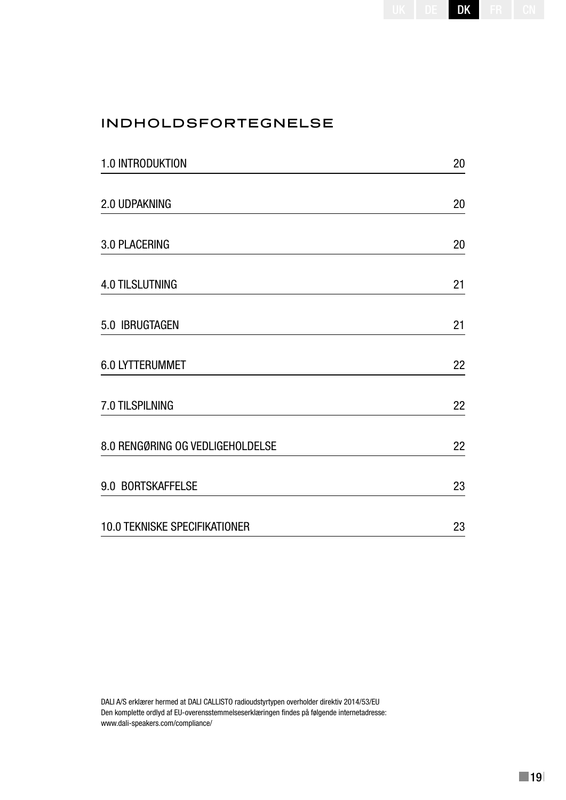# INDHOLDSFORTEGNELSE

| 1.0 INTRODUKTION                 | 20 |
|----------------------------------|----|
| 2.0 UDPAKNING                    | 20 |
| 3.0 PLACERING                    | 20 |
| <b>4.0 TILSLUTNING</b>           | 21 |
| 5.0 IBRUGTAGEN                   | 21 |
| <b>6.0 LYTTERUMMET</b>           | 22 |
| 7.0 TILSPILNING                  | 22 |
| 8.0 RENGØRING OG VEDLIGEHOLDELSE | 22 |
| 9.0 BORTSKAFFELSE                | 23 |
| 10.0 TEKNISKE SPECIFIKATIONER    | 23 |

DALI A/S erklærer hermed at DALI CALLISTO radioudstyrtypen overholder direktiv 2014/53/EU Den komplette ordlyd af EU-overensstemmelseserklæringen findes på følgende internetadresse: www.dali-speakers.com/compliance/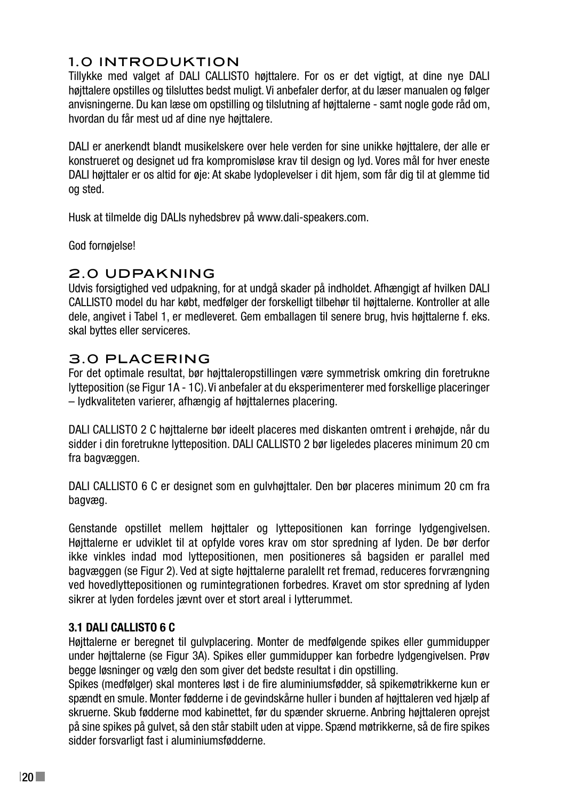## 1.0 INTRODUKTION

Tillykke med valget af DALI CALLISTO højttalere. For os er det vigtigt, at dine nye DALI højttalere opstilles og tilsluttes bedst muligt. Vi anbefaler derfor, at du læser manualen og følger anvisningerne. Du kan læse om opstilling og tilslutning af højttalerne - samt nogle gode råd om, hvordan du får mest ud af dine nye højttalere.

DALI er anerkendt blandt musikelskere over hele verden for sine unikke højttalere, der alle er konstrueret og designet ud fra kompromisløse krav til design og lyd. Vores mål for hver eneste DALI højttaler er os altid for øje: At skabe lydoplevelser i dit hjem, som får dig til at glemme tid og sted.

Husk at tilmelde dig DALIs nyhedsbrev på www.dali-speakers.com.

God fornøjelse!

#### 2.0 UDPAKNING

Udvis forsigtighed ved udpakning, for at undgå skader på indholdet. Afhængigt af hvilken DALI CALLISTO model du har købt, medfølger der forskelligt tilbehør til højttalerne. Kontroller at alle dele, angivet i Tabel 1, er medleveret. Gem emballagen til senere brug, hvis højttalerne f. eks. skal byttes eller serviceres.

## 3.0 PLACERING

For det optimale resultat, bør højttaleropstillingen være symmetrisk omkring din foretrukne lytteposition (se Figur 1A - 1C). Vi anbefaler at du eksperimenterer med forskellige placeringer – lydkvaliteten varierer, afhængig af højttalernes placering.

DALI CALLISTO 2 C højttalerne bør ideelt placeres med diskanten omtrent i ørehøjde, når du sidder i din foretrukne lytteposition. DALI CALLISTO 2 bør ligeledes placeres minimum 20 cm fra bagvæggen.

DALI CALLISTO 6 C er designet som en gulvhøjttaler. Den bør placeres minimum 20 cm fra bagvæg.

Genstande opstillet mellem højttaler og lyttepositionen kan forringe lydgengivelsen. Højttalerne er udviklet til at opfylde vores krav om stor spredning af lyden. De bør derfor ikke vinkles indad mod lyttepositionen, men positioneres så bagsiden er parallel med bagvæggen (se Figur 2). Ved at sigte højttalerne paralellt ret fremad, reduceres forvrængning ved hovedlyttepositionen og rumintegrationen forbedres. Kravet om stor spredning af lyden sikrer at lyden fordeles jævnt over et stort areal i lytterummet.

#### **3.1 DALI CALLISTO 6 C**

Højttalerne er beregnet til gulvplacering. Monter de medfølgende spikes eller gummidupper under højttalerne (se Figur 3A). Spikes eller gummidupper kan forbedre lydgengivelsen. Prøv begge løsninger og vælg den som giver det bedste resultat i din opstilling.

Spikes (medfølger) skal monteres løst i de fire aluminiumsfødder, så spikemøtrikkerne kun er spændt en smule. Monter fødderne i de gevindskårne huller i bunden af højttaleren ved hjælp af skruerne. Skub fødderne mod kabinettet, før du spænder skruerne. Anbring højttaleren oprejst på sine spikes på gulvet, så den står stabilt uden at vippe. Spænd møtrikkerne, så de fire spikes sidder forsvarligt fast i aluminiumsfødderne.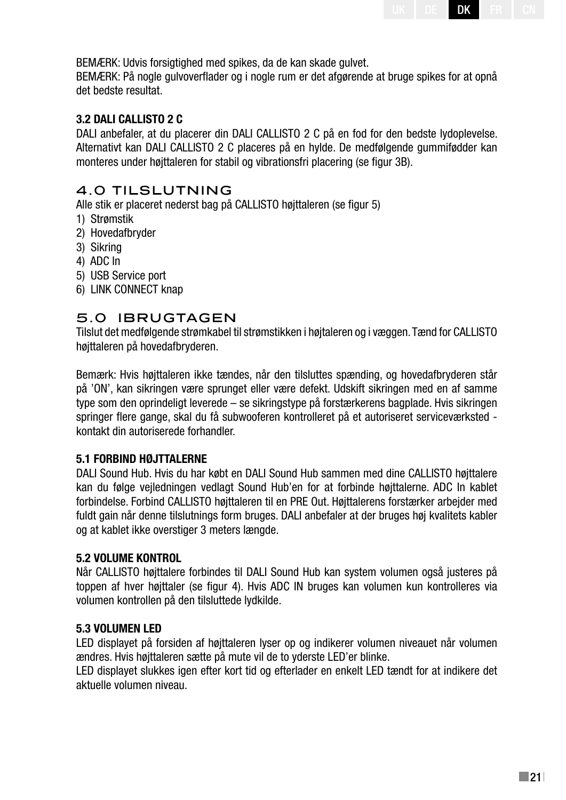BEMÆRK: Udvis forsigtighed med spikes, da de kan skade gulvet.

BEMÆRK: På nogle gulvoverflader og i nogle rum er det afgørende at bruge spikes for at opnå det bedste resultat.

#### **3.2 DALI CALLISTO 2 C**

DALI anbefaler, at du placerer din DALI CALLISTO 2 C på en fod for den bedste lydoplevelse. Alternativt kan DALI CALLISTO 2 C placeres på en hylde. De medfølgende gummifødder kan monteres under højttaleren for stabil og vibrationsfri placering (se figur 3B).

#### 4.0 TILSLUTNING

Alle stik er placeret nederst bag på CALLISTO højttaleren (se figur 5)

- 1) Strømstik
- 2) Hovedafbryder
- 3) Sikring
- 4) ADC In
- 5) USB Service port
- 6) LINK CONNECT knap

#### 5.0 IBRUGTAGEN

Tilslut det medfølgende strømkabel til strømstikken i højtaleren og i væggen. Tænd for CALLISTO højttaleren på hovedafbryderen.

Bemærk: Hvis højttaleren ikke tændes, når den tilsluttes spænding, og hovedafbryderen står på 'ON', kan sikringen være sprunget eller være defekt. Udskift sikringen med en af samme type som den oprindeligt leverede – se sikringstype på forstærkerens bagplade. Hvis sikringen springer flere gange, skal du få subwooferen kontrolleret på et autoriseret serviceværksted kontakt din autoriserede forhandler.

#### **5.1 FORBIND HØJTTALERNE**

DALI Sound Hub. Hvis du har købt en DALI Sound Hub sammen med dine CALLISTO højttalere kan du følge vejledningen vedlagt Sound Hub'en for at forbinde højttalerne. ADC In kablet forbindelse. Forbind CALLISTO højttaleren til en PRE Out. Højttalerens forstærker arbejder med fuldt gain når denne tilslutnings form bruges. DALI anbefaler at der bruges høj kvalitets kabler og at kablet ikke overstiger 3 meters længde.

#### **5.2 VOLUME KONTROL**

Når CALLISTO højttalere forbindes til DALI Sound Hub kan system volumen også justeres på toppen af hver højttaler (se figur 4). Hvis ADC IN bruges kan volumen kun kontrolleres via volumen kontrollen på den tilsluttede lydkilde.

#### **5.3 VOLUMEN LED**

LED displayet på forsiden af højttaleren lyser op og indikerer volumen niveauet når volumen ændres. Hvis højttaleren sætte på mute vil de to yderste LED'er blinke.

LED displayet slukkes igen efter kort tid og efterlader en enkelt LED tændt for at indikere det aktuelle volumen niveau.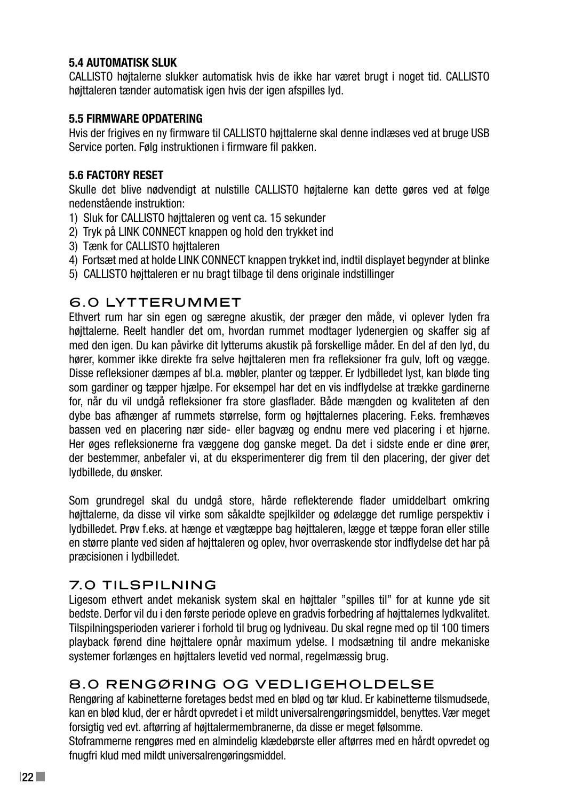#### **5.4 AUTOMATISK SLUK**

CALLISTO højtalerne slukker automatisk hvis de ikke har været brugt i noget tid. CALLISTO højttaleren tænder automatisk igen hvis der igen afspilles lyd.

#### **5.5 FIRMWARE OPDATERING**

Hvis der frigives en ny firmware til CALLISTO højttalerne skal denne indlæses ved at bruge USB Service porten. Følg instruktionen i firmware fil pakken.

#### **5.6 FACTORY RESET**

Skulle det blive nødvendigt at nulstille CALLISTO højtalerne kan dette gøres ved at følge nedenstående instruktion:

- 1) Sluk for CALLISTO højttaleren og vent ca. 15 sekunder
- 2) Tryk på LINK CONNECT knappen og hold den trykket ind
- 3) Tænk for CALLISTO højttaleren
- 4) Fortsæt med at holde LINK CONNECT knappen trykket ind, indtil displayet begynder at blinke
- 5) CALLISTO højttaleren er nu bragt tilbage til dens originale indstillinger

## **6.0 LYTTERUMMET**

Ethvert rum har sin egen og særegne akustik, der præger den måde, vi oplever lyden fra højttalerne. Reelt handler det om, hvordan rummet modtager lydenergien og skaffer sig af med den igen. Du kan påvirke dit lytterums akustik på forskellige måder. En del af den lyd, du hører, kommer ikke direkte fra selve højttaleren men fra refleksioner fra gulv, loft og vægge. Disse refleksioner dæmpes af bl.a. møbler, planter og tæpper. Er lydbilledet lyst, kan bløde ting som gardiner og tæpper hjælpe. For eksempel har det en vis indflydelse at trække gardinerne for, når du vil undgå refleksioner fra store glasflader. Både mængden og kvaliteten af den dybe bas afhænger af rummets størrelse, form og højttalernes placering. F.eks. fremhæves bassen ved en placering nær side- eller bagvæg og endnu mere ved placering i et hjørne. Her øges refleksionerne fra væggene dog ganske meget. Da det i sidste ende er dine ører, der bestemmer, anbefaler vi, at du eksperimenterer dig frem til den placering, der giver det lydbillede, du ønsker.

Som grundregel skal du undgå store, hårde reflekterende flader umiddelbart omkring højttalerne, da disse vil virke som såkaldte spejlkilder og ødelægge det rumlige perspektiv i lydbilledet. Prøv f.eks. at hænge et vægtæppe bag højttaleren, lægge et tæppe foran eller stille en større plante ved siden af højttaleren og oplev, hvor overraskende stor indflydelse det har på præcisionen i lydbilledet.

## 7.0 TILSPILNING

Ligesom ethvert andet mekanisk system skal en højttaler "spilles til" for at kunne yde sit bedste. Derfor vil du i den første periode opleve en gradvis forbedring af højttalernes lydkvalitet. Tilspilningsperioden varierer i forhold til brug og lydniveau. Du skal regne med op til 100 timers playback førend dine højttalere opnår maximum ydelse. I modsætning til andre mekaniske systemer forlænges en højttalers levetid ved normal, regelmæssig brug.

## 8.0 RENGØRING OG VEDLIGEHOLDELSE

Rengøring af kabinetterne foretages bedst med en blød og tør klud. Er kabinetterne tilsmudsede, kan en blød klud, der er hårdt opvredet i et mildt universalrengøringsmiddel, benyttes. Vær meget forsigtig ved evt. aftørring af højttalermembranerne, da disse er meget følsomme.

Stoframmerne rengøres med en almindelig klædebørste eller aftørres med en hårdt opvredet og fnugfri klud med mildt universalrengøringsmiddel.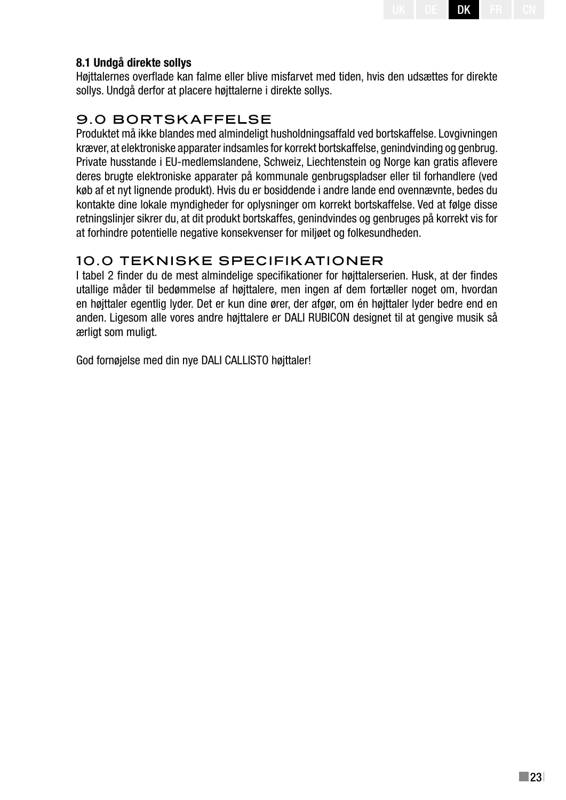#### **8.1 Undgå direkte sollys**

Højttalernes overflade kan falme eller blive misfarvet med tiden, hvis den udsættes for direkte sollys. Undgå derfor at placere højttalerne i direkte sollys.

## 9.0 BORTSKAFFELSE

Produktet må ikke blandes med almindeligt husholdningsaffald ved bortskaffelse. Lovgivningen kræver, at elektroniske apparater indsamles for korrekt bortskaffelse, genindvinding og genbrug. Private husstande i EU-medlemslandene, Schweiz, Liechtenstein og Norge kan gratis aflevere deres brugte elektroniske apparater på kommunale genbrugspladser eller til forhandlere (ved køb af et nyt lignende produkt). Hvis du er bosiddende i andre lande end ovennævnte, bedes du kontakte dine lokale myndigheder for oplysninger om korrekt bortskaffelse. Ved at følge disse retningslinjer sikrer du, at dit produkt bortskaffes, genindvindes og genbruges på korrekt vis for at forhindre potentielle negative konsekvenser for miljøet og folkesundheden.

## 10.0 TEKNISKE SPECIFIKATIONER

I tabel 2 finder du de mest almindelige specifikationer for højttalerserien. Husk, at der findes utallige måder til bedømmelse af højttalere, men ingen af dem fortæller noget om, hvordan en højttaler egentlig lyder. Det er kun dine ører, der afgør, om én højttaler lyder bedre end en anden. Ligesom alle vores andre højttalere er DALI RUBICON designet til at gengive musik så ærligt som muligt.

God fornøjelse med din nye DALI CALLISTO højttaler!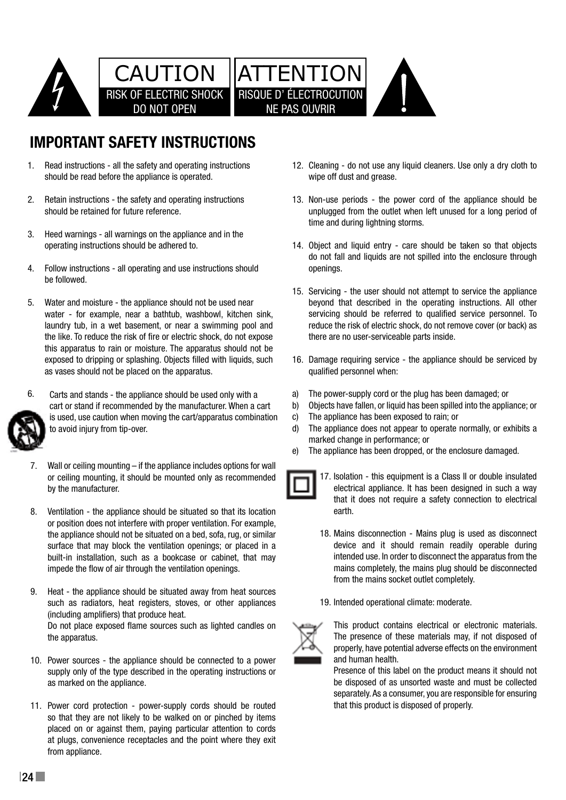

# **Important Safety Instructions**

- 1. Read instructions all the safety and operating instructions should be read before the appliance is operated.
- 2. Retain instructions the safety and operating instructions E. Thought included for the back y and eper-2.
- 3. Heed warnings all warnings on the appliance and in the operating instructions should be adhered to. 3.
	- do not iail an<br>4. Follow instructions all operating and use instructions should openings. be followed. 4.
- 5. Water and moisture the appliance should not be used near beyond that water - for example, near a bathtub, washbowl, kitchen sink, laundry tub, in a wet basement, or near a swimming pool and reduce the ris the like. To reduce the risk of fire or electric shock, do not expose there are no u this apparatus to rain or moisture. The apparatus should not be this apparatus to rain or moisture. The apparatus should not be exposed to dripping or splashing. Objects filled with liquids, such and 6. Damage requ as vases should not be placed on the apparatus. water - for example, near a bathtub, washbowl, washbowl, washbowl, kitchen sink, washbowl, kitchen sink, washbowl, kitchen sink, washbowl, washbowl, washbowl, washbowl, washbowl, washbowl, washbowl, washbowl, washbowl, was



- 6.  $6.$  Carts and stands - the appliance should be used only with a to avoid injury from tip-over. cart or stand if recommended by the manufacturer. When a cart  $\qquad \quad \text{b)} \quad$  Objects have t is used, use caution when moving the cart/apparatus combination
- 7. Wall or ceiling mounting if the appliance includes options for wall or ceiling mounting, it should be mounted only as recommended **by** 17. Isolation by the manufacturer. 7.
- 8. Ventilation the appliance should be situated so that its location or position does not interfere with proper ventilation. For example, the appliance should not be situated on a bed, sofa, rug, or similar surface that may block the ventilation openings; or placed in a impede the flow of air through the ventilation openings. built-in installation, such as a bookcase or cabinet, that may intend
- such as radiators, heat registers, stoves, or other appliances including amplifiers) that produce heat. the apparatus. 9. Heat - the appliance should be situated away from heat sources 20 This equipment is a Class II or double insulated in the Class II or double insulated in the Class II or double insulated in the Class II or double in the Class II or double in the Class II or double in the Class II or d Do not place exposed flame sources such as lighted candles on  $\simeq$  connection to electrical ground.
	- 10. Power sources the appliance shou supply only of the type described in the operating instructions or **Example 19** Preser 10. Power sources - the appliance should be connected to a power as marked on the appliance.
		- 11. Power cord protection power-supply cords should be routed so that they are not likely to be walked on or pinched by items placed on or against them, paying particular attention to cords at plugs, convenience receptacles and the point where they exit from appliance.
- Cleaning do not use any liquid cleaners. Use only a dry cloth to 12. wipe off dust and grease.
- 13. Non-use periods the power cord of the appliance should be unplugged from the outlet when left unused for a long period of time and during lightning storms.
- 14. Object and liquid entry care should be taken so that objects do not fall and liquids are not spilled into the enclosure through openings.
- 15. Servicing the user should not attempt to service the appliance beyond that described in the operating instructions. All other servicing should be referred to qualified service personnel. To reduce the risk of electric shock, do not remove cover (or back) as there are no user-serviceable parts inside.
	- 16. Damage requiring service the appliance should be serviced by qualified personnel when:
	- used only with a a a) The power-supply cord or the plug has been damaged; or a)
		- Objects have fallen, or liquid has been spilled into the appliance; or b)
		- The appliance has been exposed to rain; or c)
	- d) The appliance does not appear to operate normally, or exhibits a marked change in performance; or d)
	- The appliance has been dropped, or the enclosure damaged. e) The appliance has been dropped, or the enclosure e)



- **EXECTE:** electrical appliance. It has been designed in such a way that it does not require a safety connection to electrical 17. Isolation - this equipment is a Class II or double insulated earth.
- 19 Keep new and used batteries away from children. If the state  $\mathfrak{h}$  the state  $\mathfrak{h}$ 18. Mains disconnection - Mains plug is used as disconnect device and it should remain readily operable during intended use. In order to disconnect the apparatus from the mains completely, the mains plug should be disconnected from the mains socket outlet completely.
	- 19. Intended operational climate: moderate.



This product contains electrical or electronic materials. The presence of these materials may, if not disposed of properly, have potential adverse effects on the environment and human health.

5 that this product is disposed of properly. be disposed of as unsorted waste and must be collected Presence of this label on the product means it should not separately. As a consumer, you are responsible for ensuring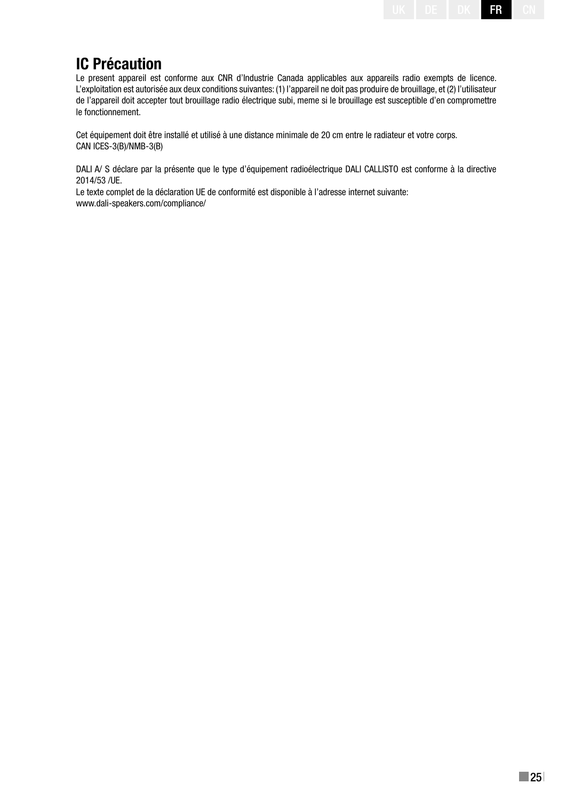# **IC Précaution**

Le present appareil est conforme aux CNR d'Industrie Canada applicables aux appareils radio exempts de licence. L'exploitation est autorisée aux deux conditions suivantes: (1) l'appareil ne doit pas produire de brouillage, et (2) l'utilisateur de l'appareil doit accepter tout brouillage radio électrique subi, meme si le brouillage est susceptible d'en compromettre le fonctionnement.

Cet équipement doit être installé et utilisé à une distance minimale de 20 cm entre le radiateur et votre corps. CAN ICES-3(B)/NMB-3(B)

DALI A/ S déclare par la présente que le type d'équipement radioélectrique DALI CALLISTO est conforme à la directive 2014/53 /UE.

Le texte complet de la déclaration UE de conformité est disponible à l'adresse internet suivante: www.dali-speakers.com/compliance/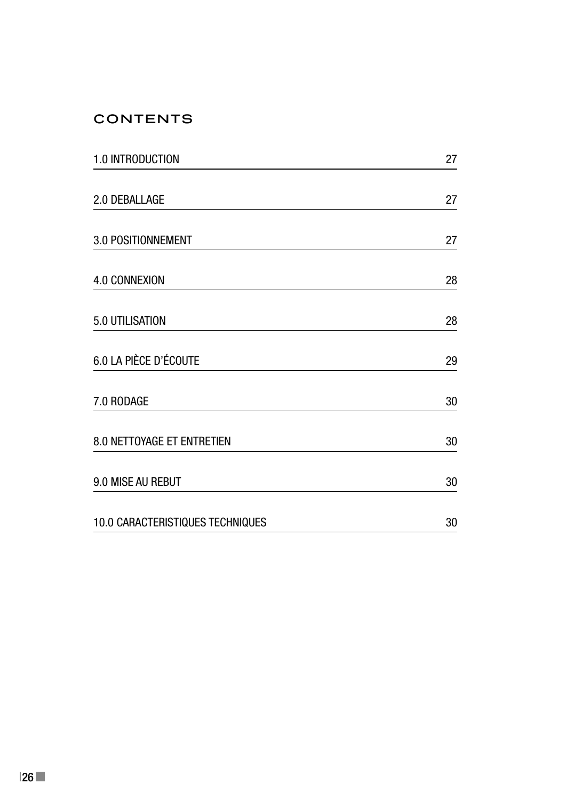# **CONTENTS**

| 1.0 INTRODUCTION                  | 27 |
|-----------------------------------|----|
| 2.0 DEBALLAGE                     | 27 |
| 3.0 POSITIONNEMENT                | 27 |
| 4.0 CONNEXION                     | 28 |
| 5.0 UTILISATION                   | 28 |
| 6.0 LA PIÈCE D'ÉCOUTE             | 29 |
| 7.0 RODAGE                        | 30 |
| <b>8.0 NETTOYAGE ET ENTRETIEN</b> | 30 |
| 9.0 MISE AU REBUT                 | 30 |
| 10.0 CARACTERISTIQUES TECHNIQUES  | 30 |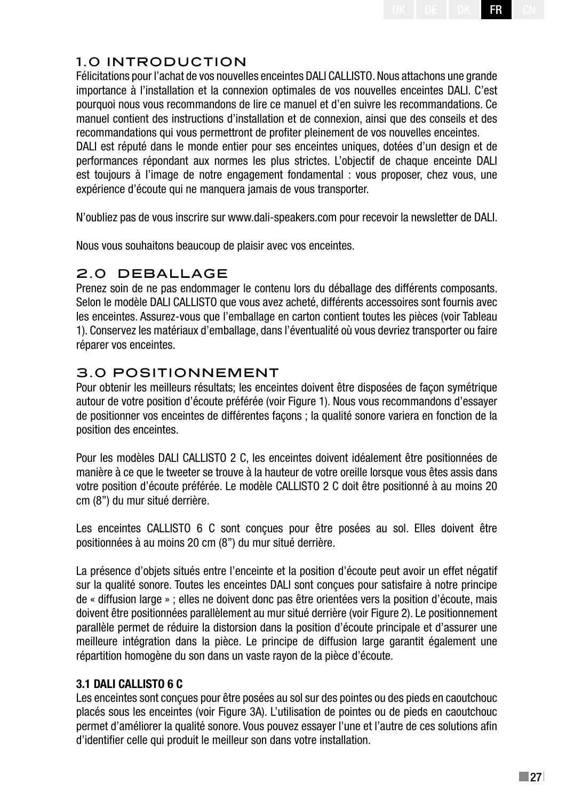# 1.0 INTRODUCTION

Félicitations pour l'achat de vos nouvelles enceintes DALI CALLISTO. Nous attachons une grande importance à l'installation et la connexion optimales de vos nouvelles enceintes DALI. C'est pourquoi nous vous recommandons de lire ce manuel et d'en suivre les recommandations. Ce manuel contient des instructions d'installation et de connexion, ainsi que des conseils et des recommandations qui vous permettront de profiter pleinement de vos nouvelles enceintes.

DALI est réputé dans le monde entier pour ses enceintes uniques, dotées d'un design et de performances répondant aux normes les plus strictes. L'objectif de chaque enceinte DALI est toujours à l'image de notre engagement fondamental : vous proposer, chez vous, une expérience d'écoute qui ne manquera jamais de vous transporter.

N'oubliez pas de vous inscrire sur www.dali-speakers.com pour recevoir la newsletter de DALI.

Nous vous souhaitons beaucoup de plaisir avec vos enceintes.

# 2.0 DEBALLAGE

Prenez soin de ne pas endommager le contenu lors du déballage des différents composants. Selon le modèle DALI CALLISTO que vous avez acheté, différents accessoires sont fournis avec les enceintes. Assurez-vous que l'emballage en carton contient toutes les pièces (voir Tableau 1). Conservez les matériaux d'emballage, dans l'éventualité où vous devriez transporter ou faire réparer vos enceintes.

# 3.0 POSITIONNEMENT

Pour obtenir les meilleurs résultats; les enceintes doivent être disposées de façon symétrique autour de votre position d'écoute préférée (voir Figure 1). Nous vous recommandons d'essayer de positionner vos enceintes de différentes façons ; la qualité sonore variera en fonction de la position des enceintes.

Pour les modèles DALI CALLISTO 2 C, les enceintes doivent idéalement être positionnées de manière à ce que le tweeter se trouve à la hauteur de votre oreille lorsque vous êtes assis dans votre position d'écoute préférée. Le modèle CALLISTO 2 C doit être positionné à au moins 20 cm (8") du mur situé derrière.

Les enceintes CALLISTO 6 C sont conçues pour être posées au sol. Elles doivent être positionnées à au moins 20 cm (8") du mur situé derrière.

La présence d'objets situés entre l'enceinte et la position d'écoute peut avoir un effet négatif sur la qualité sonore. Toutes les enceintes DALI sont conçues pour satisfaire à notre principe de « diffusion large » ; elles ne doivent donc pas être orientées vers la position d'écoute, mais doivent être positionnées parallèlement au mur situé derrière (voir Figure 2). Le positionnement parallèle permet de réduire la distorsion dans la position d'écoute principale et d'assurer une meilleure intégration dans la pièce. Le principe de diffusion large garantit également une répartition homogène du son dans un vaste rayon de la pièce d'écoute.

## **3.1 DALI CALLISTO 6 C**

Les enceintes sont conçues pour être posées au sol sur des pointes ou des pieds en caoutchouc placés sous les enceintes (voir Figure 3A). L'utilisation de pointes ou de pieds en caoutchouc permet d'améliorer la qualité sonore. Vous pouvez essayer l'une et l'autre de ces solutions afin d'identifier celle qui produit le meilleur son dans votre installation.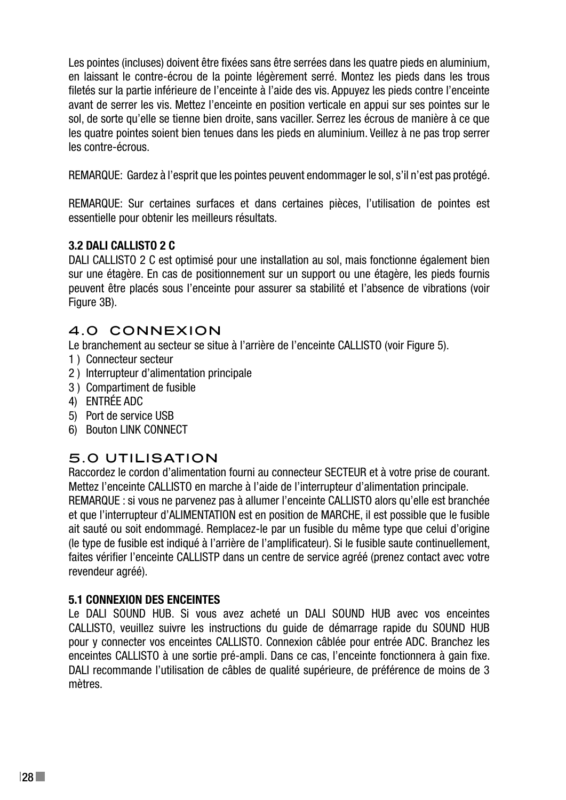Les pointes (incluses) doivent être fixées sans être serrées dans les quatre pieds en aluminium, en laissant le contre-écrou de la pointe légèrement serré. Montez les pieds dans les trous filetés sur la partie inférieure de l'enceinte à l'aide des vis. Appuyez les pieds contre l'enceinte avant de serrer les vis. Mettez l'enceinte en position verticale en appui sur ses pointes sur le sol, de sorte qu'elle se tienne bien droite, sans vaciller. Serrez les écrous de manière à ce que les quatre pointes soient bien tenues dans les pieds en aluminium. Veillez à ne pas trop serrer les contre-écrous.

REMARQUE: Gardez à l'esprit que les pointes peuvent endommager le sol, s'il n'est pas protégé.

REMARQUE: Sur certaines surfaces et dans certaines pièces, l'utilisation de pointes est essentielle pour obtenir les meilleurs résultats.

#### **3.2 DALI CALLISTO 2 C**

DALI CALLISTO 2 C est optimisé pour une installation au sol, mais fonctionne également bien sur une étagère. En cas de positionnement sur un support ou une étagère, les pieds fournis peuvent être placés sous l'enceinte pour assurer sa stabilité et l'absence de vibrations (voir Figure 3B).

#### 4.0 CONNEXION

Le branchement au secteur se situe à l'arrière de l'enceinte CALLISTO (voir Figure 5).

- 1 ) Connecteur secteur
- 2 ) Interrupteur d'alimentation principale
- 3 ) Compartiment de fusible
- 4) ENTRÉE ADC
- 5) Port de service USB
- 6) Bouton LINK CONNECT

## 5.0 UTILISATION

Raccordez le cordon d'alimentation fourni au connecteur SECTEUR et à votre prise de courant. Mettez l'enceinte CALLISTO en marche à l'aide de l'interrupteur d'alimentation principale. REMARQUE : si vous ne parvenez pas à allumer l'enceinte CALLISTO alors qu'elle est branchée et que l'interrupteur d'ALIMENTATION est en position de MARCHE, il est possible que le fusible ait sauté ou soit endommagé. Remplacez-le par un fusible du même type que celui d'origine (le type de fusible est indiqué à l'arrière de l'amplificateur). Si le fusible saute continuellement, faites vérifier l'enceinte CALLISTP dans un centre de service agréé (prenez contact avec votre revendeur agréé).

#### **5.1 CONNEXION DES ENCEINTES**

Le DALI SOUND HUB. Si vous avez acheté un DALI SOUND HUB avec vos enceintes CALLISTO, veuillez suivre les instructions du guide de démarrage rapide du SOUND HUB pour y connecter vos enceintes CALLISTO. Connexion câblée pour entrée ADC. Branchez les enceintes CALLISTO à une sortie pré-ampli. Dans ce cas, l'enceinte fonctionnera à gain fixe. DALI recommande l'utilisation de câbles de qualité supérieure, de préférence de moins de 3 mètres.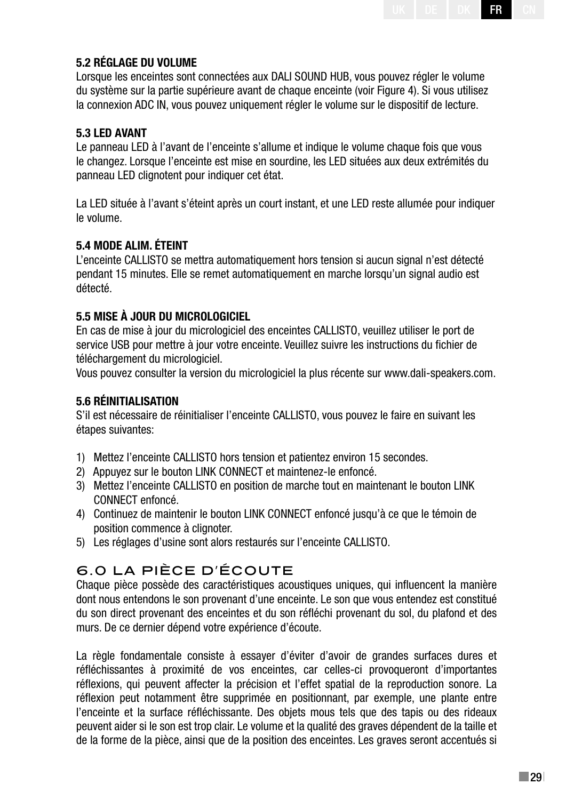#### **5.2 Réglage du volume**

Lorsque les enceintes sont connectées aux DALI SOUND HUB, vous pouvez régler le volume du système sur la partie supérieure avant de chaque enceinte (voir Figure 4). Si vous utilisez la connexion ADC IN, vous pouvez uniquement régler le volume sur le dispositif de lecture.

#### **5.3 LED AVANT**

Le panneau LED à l'avant de l'enceinte s'allume et indique le volume chaque fois que vous le changez. Lorsque l'enceinte est mise en sourdine, les LED situées aux deux extrémités du panneau LED clignotent pour indiquer cet état.

La LED située à l'avant s'éteint après un court instant, et une LED reste allumée pour indiquer le volume.

#### **5.4 MODE ALIM. ÉTEINT**

L'enceinte CALLISTO se mettra automatiquement hors tension si aucun signal n'est détecté pendant 15 minutes. Elle se remet automatiquement en marche lorsqu'un signal audio est détecté.

#### **5.5 MISE À JOUR DU MICROLOGICIEL**

En cas de mise à jour du micrologiciel des enceintes CALLISTO, veuillez utiliser le port de service USB pour mettre à jour votre enceinte. Veuillez suivre les instructions du fichier de téléchargement du micrologiciel.

Vous pouvez consulter la version du micrologiciel la plus récente sur www.dali-speakers.com.

#### **5.6 RÉINITIALISATION**

S'il est nécessaire de réinitialiser l'enceinte CALLISTO, vous pouvez le faire en suivant les étapes suivantes:

- 1) Mettez l'enceinte CALLISTO hors tension et patientez environ 15 secondes.
- 2) Appuyez sur le bouton LINK CONNECT et maintenez-le enfoncé.
- 3) Mettez l'enceinte CALLISTO en position de marche tout en maintenant le bouton LINK CONNECT enfoncé.
- 4) Continuez de maintenir le bouton LINK CONNECT enfoncé jusqu'à ce que le témoin de position commence à clignoter.
- 5) Les réglages d'usine sont alors restaurés sur l'enceinte CALLISTO.

## 6.0 LA PIÈCE D'ÉCOUTE

Chaque pièce possède des caractéristiques acoustiques uniques, qui influencent la manière dont nous entendons le son provenant d'une enceinte. Le son que vous entendez est constitué du son direct provenant des enceintes et du son réfléchi provenant du sol, du plafond et des murs. De ce dernier dépend votre expérience d'écoute.

La règle fondamentale consiste à essayer d'éviter d'avoir de grandes surfaces dures et réfléchissantes à proximité de vos enceintes, car celles-ci provoqueront d'importantes réflexions, qui peuvent affecter la précision et l'effet spatial de la reproduction sonore. La réflexion peut notamment être supprimée en positionnant, par exemple, une plante entre l'enceinte et la surface réfléchissante. Des objets mous tels que des tapis ou des rideaux peuvent aider si le son est trop clair. Le volume et la qualité des graves dépendent de la taille et de la forme de la pièce, ainsi que de la position des enceintes. Les graves seront accentués si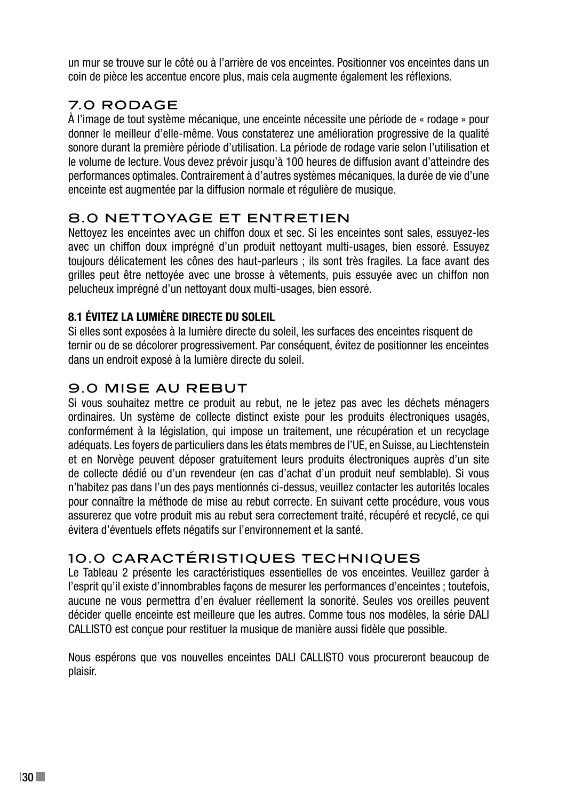un mur se trouve sur le côté ou à l'arrière de vos enceintes. Positionner vos enceintes dans un coin de pièce les accentue encore plus, mais cela augmente également les réflexions.

# 7.0 RODAGE

À l'image de tout système mécanique, une enceinte nécessite une période de « rodage » pour donner le meilleur d'elle-même. Vous constaterez une amélioration progressive de la qualité sonore durant la première période d'utilisation. La période de rodage varie selon l'utilisation et le volume de lecture. Vous devez prévoir jusqu'à 100 heures de diffusion avant d'atteindre des performances optimales. Contrairement à d'autres systèmes mécaniques, la durée de vie d'une enceinte est augmentée par la diffusion normale et régulière de musique.

## 8.0 NETTOYAGE ET ENTRETIEN

Nettoyez les enceintes avec un chiffon doux et sec. Si les enceintes sont sales, essuyez-les avec un chiffon doux imprégné d'un produit nettoyant multi-usages, bien essoré. Essuyez toujours délicatement les cônes des haut-parleurs ; ils sont très fragiles. La face avant des grilles peut être nettoyée avec une brosse à vêtements, puis essuyée avec un chiffon non pelucheux imprégné d'un nettoyant doux multi-usages, bien essoré.

## **8.1 ÉVITEZ LA LUMIÈRE DIRECTE DU SOLEIL**

Si elles sont exposées à la lumière directe du soleil, les surfaces des enceintes risquent de ternir ou de se décolorer progressivement. Par conséquent, évitez de positionner les enceintes dans un endroit exposé à la lumière directe du soleil.

## 9.0 MISE AU REBUT

Si vous souhaitez mettre ce produit au rebut, ne le jetez pas avec les déchets ménagers ordinaires. Un système de collecte distinct existe pour les produits électroniques usagés, conformément à la législation, qui impose un traitement, une récupération et un recyclage adéquats. Les foyers de particuliers dans les états membres de l'UE, en Suisse, au Liechtenstein et en Norvège peuvent déposer gratuitement leurs produits électroniques auprès d'un site de collecte dédié ou d'un revendeur (en cas d'achat d'un produit neuf semblable). Si vous n'habitez pas dans l'un des pays mentionnés ci-dessus, veuillez contacter les autorités locales pour connaître la méthode de mise au rebut correcte. En suivant cette procédure, vous vous assurerez que votre produit mis au rebut sera correctement traité, récupéré et recyclé, ce qui évitera d'éventuels effets négatifs sur l'environnement et la santé.

## 10.0 CARACTÉRISTIQUES TECHNIQUES

Le Tableau 2 présente les caractéristiques essentielles de vos enceintes. Veuillez garder à l'esprit qu'il existe d'innombrables façons de mesurer les performances d'enceintes ; toutefois, aucune ne vous permettra d'en évaluer réellement la sonorité. Seules vos oreilles peuvent décider quelle enceinte est meilleure que les autres. Comme tous nos modèles, la série DALI CALLISTO est conçue pour restituer la musique de manière aussi fidèle que possible.

Nous espérons que vos nouvelles enceintes DALI CALLISTO vous procureront beaucoup de plaisir.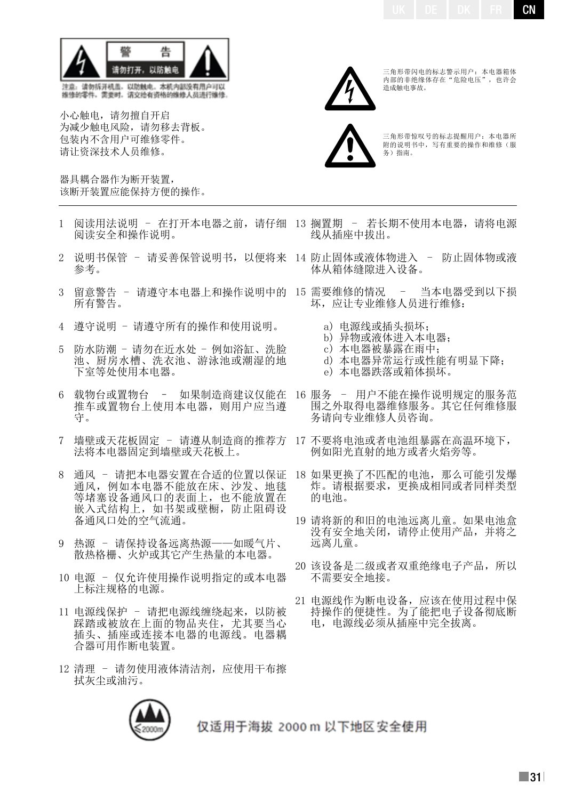

注意,请勿拆开机盖,以防触电,本机内部没有用户可以<br>维修的零件,需要时,请交给有资格的维修人员进行维修

小心触电,请勿擅自开启 为减少触电风险,请勿移去背板。 包装内不含用户可维修零件。 请让资深技术人员维修。

器具耦合器作为断开装置, 该断开装置应能保持方便的操作。

- 1 阅读用法说明 在打开本电器之前,请仔细 13 搁置期 若长期不使用本电器,请将电源 阅读安全和操作说明。
- 2 说明书保管 请妥善保管说明书,以便将来 14 防止固体或液体物进入 防止固体物或液 参考。
- 3 留意警告 请遵守本电器上和操作说明中的 15 需要维修的情况 所有警告。
- 4 遵守说明 请遵守所有的操作和使用说明。
- 5 防水防潮 请勿在近水处 例如浴缸、洗脸 池、厨房水槽、洗衣池、游泳池或潮湿的地 下室等处使用本电器。
- 6 载物台或置物台 如果制造商建议仅能在 16 服务 用户不能在操作说明规定的服务范 推车或置物台上使用本电器,则用户应当遵 守。
- 7 墙壁或天花板固定 请遵从制造商的推荐方 17 不要将电池或者电池组暴露在高温环境下, 法将本电器固定到墙壁或天花板上。
- 8 通风 请把本电器安置在合适的位置以保证 通风,例如本电器不能放在床、沙发、地毯 等堵塞设备通风口的表面上,也不能放置在 嵌入式结构上,如书架或壁橱,防止阻碍设 备通风口处的空气流通。
- 9 热源 请保持设备远离热源——如暖气片、 散热格栅、火炉或其它产生热量的本电器。
- 10 电源 仅允许使用操作说明指定的或本电器 上标注规格的电源。
- 11 电源线保护 请把电源线缠绕起来,以防被 踩踏或被放在上面的物品夹住,尤其要当心 插头、插座或连接本电器的电源线。电器耦 合器可用作断电装置。
- 12 清理 请勿使用液体清洁剂,应使用干布擦 拭灰尘或油污。



仅适用于海拔 2000 m 以下地区安全使用



三角形带闪电的标志警示用户: 本电器箱体<br>内部的非绝缘体存在 "危险电压" ,也许会 造成触电事故。



三角形带惊叹号的标志提醒用户:本电器所 附的说明书中,写有重要的操作和维修(服 务)指南。

- 线从插座中拔出。
	- 体从箱体缝隙进入设备。
	- 当本电器受到以下损 坏,应让专业维修人员进行维修:
		- a) 电源线或插头损坏;
		- b) 异物或液体进入本电器;
		- c) 本电器被暴露在雨中;
		- d) 本电器异常运行或性能有明显下降;
		- e) 本电器跌落或箱体损坏。
	- 围之外取得电器维修服务。其它任何维修服 务请向专业维修人员咨询。
	- 例如阳光直射的地方或者火焰旁等。
- 18 如果更换了不匹配的电池,那么可能引发爆 炸。请根据要求,更换成相同或者同样类型 的电池。
- 19 请将新的和旧的电池远离儿童。如果电池盒 没有安全地关闭,请停止使用产品,并将之 远离儿童。
- 20 该设备是二级或者双重绝缘电子产品,所以 不需要安全地接。
- 21 电源线作为断电设备,应该在使用过程中保 持操作的便捷性。为了能把电子设备彻底断 电,电源线必须从插座中完全拔离。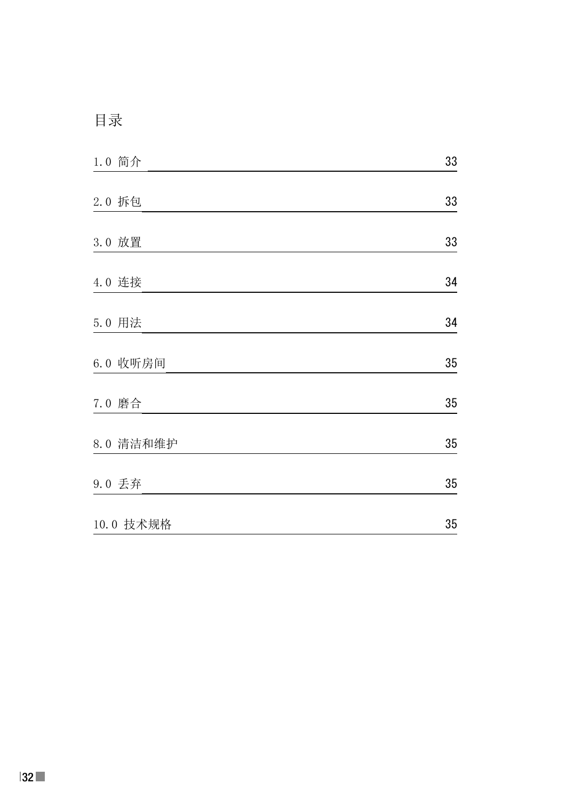# 目录

| 1.0 简介    | 33 |
|-----------|----|
|           |    |
| 2.0 拆包    | 33 |
| 3.0 放置    | 33 |
| 4.0 连接    | 34 |
| 5.0 用法    | 34 |
| 6.0 收听房间  | 35 |
| 7.0 磨合    | 35 |
| 8.0 清洁和维护 | 35 |
| 9.0 丢弃    | 35 |
| 10.0 技术规格 | 35 |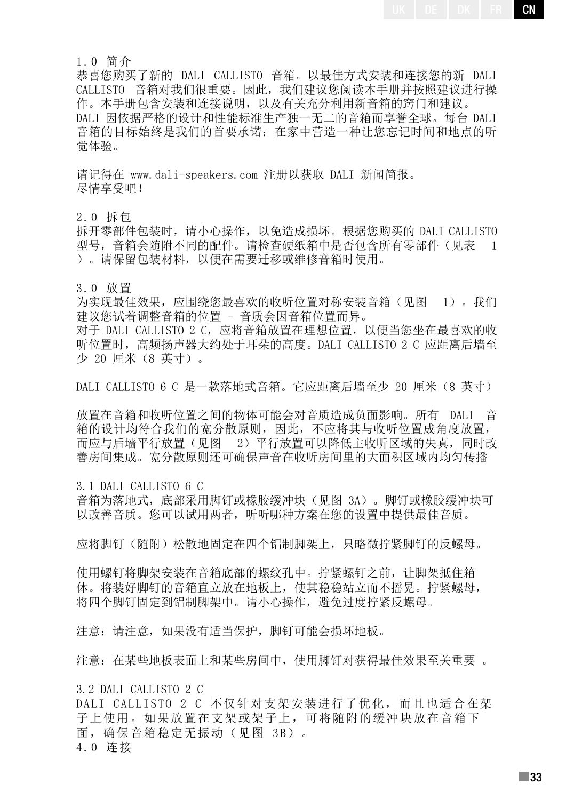1.0 简介

恭喜您购买了新的 DALI CALLISTO 音箱。以最佳方式安装和连接您的新 DALI CALLISTO 音箱对我们很重要。因此,我们建议您阅读本手册并按照建议进行操 作。本手册包含安装和连接说明,以及有关充分利用新音箱的窍门和建议。 DALI 因依据严格的设计和性能标准生产独一无二的音箱而享誉全球。每台 DALI 音箱的目标始终是我们的首要承诺:在家中营造一种让您忘记时间和地点的听 觉体验。

请记得在 www.dali-speakers.com 注册以获取 DALI 新闻简报。 尽情享受吧!

2.0 拆包

拆开零部件包装时,请小心操作,以免造成损坏。根据您购买的 DALI CALLISTO 型号,音箱会随附不同的配件。请检查硬纸箱中是否包含所有零部件(见表 1 )。请保留包装材料,以便在需要迁移或维修音箱时使用。

3.0 放置

为实现最佳效果,应围绕您最喜欢的收听位置对称安装音箱(见图 1)。我们 建议您试着调整音箱的位置 - 音质会因音箱位置而异。

对于 DALI CALLISTO 2 C, 应将音箱放置在理想位置, 以便当您坐在最喜欢的收 听位置时,高频扬声器大约处于耳朵的高度。DALI CALLISTO 2 C 应距离后墙至 少 20 厘米(8 英寸)。

DALI CALLISTO 6 C 是一款落地式音箱。它应距离后墙至少 20 厘米 (8 英寸)

放置在音箱和收听位置之间的物体可能会对音质造成负面影响。所有 DALI 音 箱的设计均符合我们的宽分散原则,因此,不应将其与收听位置成角度放置, 而应与后墙平行放置(见图 2)平行放置可以降低主收听区域的失真,同时改 善房间集成。宽分散原则还可确保声音在收听房间里的大面积区域内均匀传播

3.1 DALI CALLISTO 6 C

音箱为落地式,底部采用脚钉或橡胶缓冲块(见图 3A)。脚钉或橡胶缓冲块可 以改善音质。您可以试用两者,听听哪种方案在您的设置中提供最佳音质。

应将脚钉(随附)松散地固定在四个铝制脚架上,只略微拧紧脚钉的反螺母。

使用螺钉将脚架安装在音箱底部的螺纹孔中。拧紧螺钉之前,让脚架抵住箱 体。将装好脚钉的音箱直立放在地板上,使其稳稳站立而不摇晃。拧紧螺母, 将四个脚钉固定到铝制脚架中。请小心操作, 避免过度拧紧反螺母。

注意:请注意,如果没有适当保护,脚钉可能会损坏地板。

注意:在某些地板表面上和某些房间中,使用脚钉对获得最佳效果至关重要 。

3.2 DALI CALLISTO 2 C

DALI CALLISTO 2 C 不仅针对支架安装进行了优化,而且也适合在架 子上使用。如果放置在支架或架子上,可将随附的缓冲块放在音箱下 面,确保音箱稳定无振动(见图 3B)。 4.0 连接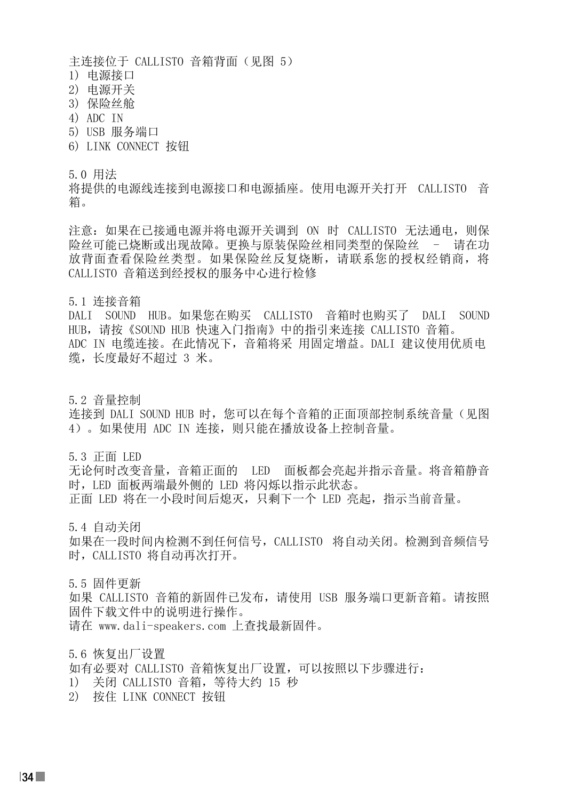主连接位于 CALLISTO 音箱背面(见图 5)

- 1) 电源接口
- 2) 电源开关
- 3) 保险丝舱
- 4) ADC IN
- 5) USB 服务端口
- 6) LINK CONNECT 按钮

5.0 用法

将提供的电源线连接到电源接口和电源插座。使用电源开关打开 CALLISTO 音 箱。

注意: 如果在已接通电源并将电源开关调到 ON 时 CALLISTO 无法通电, 则保 险丝可能已烧断或出现故障。更换与原装保险丝相同类型的保险丝 - 请在功 放背面查看保险丝类型。如果保险丝反复烧断,请联系您的授权经销商,将 CALLISTO 音箱送到经授权的服务中心进行检修

5.1 连接音箱

DALI SOUND HUB。如果您在购买 CALLISTO 音箱时也购买了 DALI SOUND HUB,请按《SOUND HUB 快速入门指南》中的指引来连接 CALLISTO 音箱。 ADC IN 电缆连接。在此情况下,音箱将采 用固定增益。DALI 建议使用优质电 缆,长度最好不超过 3 米。

5.2 音量控制 连接到 DALI SOUND HUB 时, 您可以在每个音箱的正面顶部控制系统音量(见图 4)。如果使用 ADC IN 连接,则只能在播放设备上控制音量。

5.3 正面 LED

无论何时改变音量,音箱正面的 LED 面板都会亮起并指示音量。将音箱静音 时,LED 面板两端最外侧的 LED 将闪烁以指示此状态。 正面 LED 将在一小段时间后熄灭,只剩下一个 LED 亮起,指示当前音量。

5.4 自动关闭

如果在一段时间内检测不到任何信号,CALLISTO 将自动关闭。检测到音频信号 时,CALLISTO 将自动再次打开。

5.5 固件更新

如果 CALLISTO 音箱的新固件已发布,请使用 USB 服务端口更新音箱。请按照 固件下载文件中的说明进行操作。 请在 www.dali-speakers.com 上查找最新固件。

5.6 恢复出厂设置 如有必要对 CALLISTO 音箱恢复出厂设置,可以按照以下步骤进行: 1) 关闭 CALLISTO 音箱,等待大约 15 秒 2) 按住 LINK CONNECT 按钮